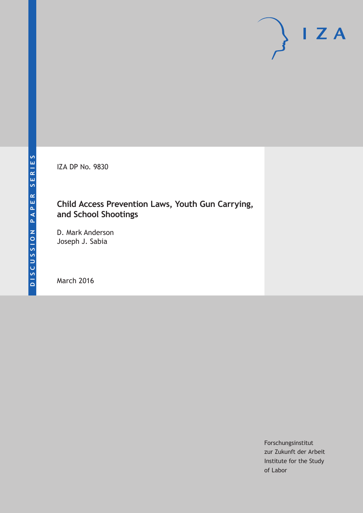IZA DP No. 9830

# **Child Access Prevention Laws, Youth Gun Carrying, and School Shootings**

D. Mark Anderson Joseph J. Sabia

March 2016

Forschungsinstitut zur Zukunft der Arbeit Institute for the Study of Labor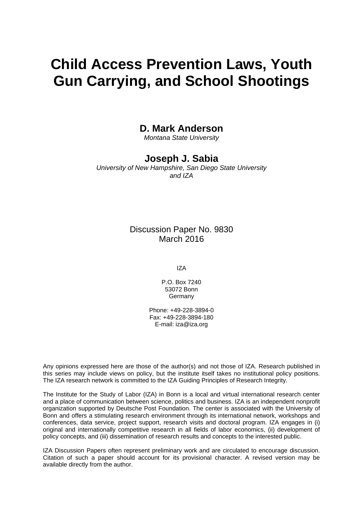# **Child Access Prevention Laws, Youth Gun Carrying, and School Shootings**

# **D. Mark Anderson**

*Montana State University* 

# **Joseph J. Sabia**

*University of New Hampshire, San Diego State University and IZA* 

# Discussion Paper No. 9830 March 2016

IZA

P.O. Box 7240 53072 Bonn **Germany** 

Phone: +49-228-3894-0 Fax: +49-228-3894-180 E-mail: iza@iza.org

Any opinions expressed here are those of the author(s) and not those of IZA. Research published in this series may include views on policy, but the institute itself takes no institutional policy positions. The IZA research network is committed to the IZA Guiding Principles of Research Integrity.

The Institute for the Study of Labor (IZA) in Bonn is a local and virtual international research center and a place of communication between science, politics and business. IZA is an independent nonprofit organization supported by Deutsche Post Foundation. The center is associated with the University of Bonn and offers a stimulating research environment through its international network, workshops and conferences, data service, project support, research visits and doctoral program. IZA engages in (i) original and internationally competitive research in all fields of labor economics, (ii) development of policy concepts, and (iii) dissemination of research results and concepts to the interested public.

IZA Discussion Papers often represent preliminary work and are circulated to encourage discussion. Citation of such a paper should account for its provisional character. A revised version may be available directly from the author.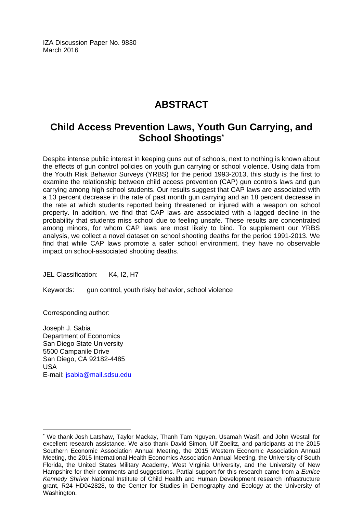IZA Discussion Paper No. 9830 March 2016

# **ABSTRACT**

# **Child Access Prevention Laws, Youth Gun Carrying, and School Shootings\***

Despite intense public interest in keeping guns out of schools, next to nothing is known about the effects of gun control policies on youth gun carrying or school violence. Using data from the Youth Risk Behavior Surveys (YRBS) for the period 1993-2013, this study is the first to examine the relationship between child access prevention (CAP) gun controls laws and gun carrying among high school students. Our results suggest that CAP laws are associated with a 13 percent decrease in the rate of past month gun carrying and an 18 percent decrease in the rate at which students reported being threatened or injured with a weapon on school property. In addition, we find that CAP laws are associated with a lagged decline in the probability that students miss school due to feeling unsafe. These results are concentrated among minors, for whom CAP laws are most likely to bind. To supplement our YRBS analysis, we collect a novel dataset on school shooting deaths for the period 1991-2013. We find that while CAP laws promote a safer school environment, they have no observable impact on school-associated shooting deaths.

JEL Classification: K4, I2, H7

Keywords: gun control, youth risky behavior, school violence

Corresponding author:

 $\overline{a}$ 

Joseph J. Sabia Department of Economics San Diego State University 5500 Campanile Drive San Diego, CA 92182-4485 USA E-mail: jsabia@mail.sdsu.edu

<sup>\*</sup> We thank Josh Latshaw, Taylor Mackay, Thanh Tam Nguyen, Usamah Wasif, and John Westall for excellent research assistance. We also thank David Simon, Ulf Zoelitz, and participants at the 2015 Southern Economic Association Annual Meeting, the 2015 Western Economic Association Annual Meeting, the 2015 International Health Economics Association Annual Meeting, the University of South Florida, the United States Military Academy, West Virginia University, and the University of New Hampshire for their comments and suggestions. Partial support for this research came from a *Eunice Kennedy Shriver* National Institute of Child Health and Human Development research infrastructure grant, R24 HD042828, to the Center for Studies in Demography and Ecology at the University of Washington.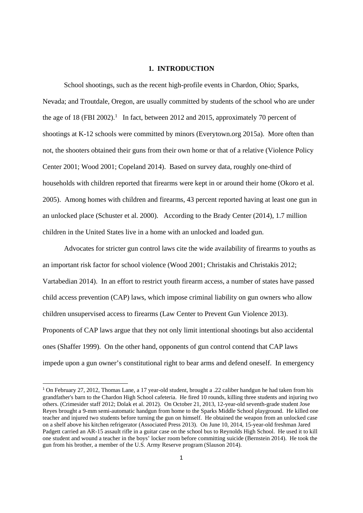#### **1. INTRODUCTION**

School shootings, such as the recent high-profile events in Chardon, Ohio; Sparks, Nevada; and Troutdale, Oregon, are usually committed by students of the school who are under the age of 18 (FBI 2002).<sup>1</sup> In fact, between 2012 and 2015, approximately 70 percent of shootings at K-12 schools were committed by minors (Everytown.org 2015a). More often than not, the shooters obtained their guns from their own home or that of a relative (Violence Policy Center 2001; Wood 2001; Copeland 2014). Based on survey data, roughly one-third of households with children reported that firearms were kept in or around their home (Okoro et al. 2005). Among homes with children and firearms, 43 percent reported having at least one gun in an unlocked place (Schuster et al. 2000). According to the Brady Center (2014), 1.7 million children in the United States live in a home with an unlocked and loaded gun.

 Advocates for stricter gun control laws cite the wide availability of firearms to youths as an important risk factor for school violence (Wood 2001; Christakis and Christakis 2012; Vartabedian 2014). In an effort to restrict youth firearm access, a number of states have passed child access prevention (CAP) laws, which impose criminal liability on gun owners who allow children unsupervised access to firearms (Law Center to Prevent Gun Violence 2013). Proponents of CAP laws argue that they not only limit intentional shootings but also accidental ones (Shaffer 1999). On the other hand, opponents of gun control contend that CAP laws impede upon a gun owner's constitutional right to bear arms and defend oneself. In emergency

<sup>1</sup> On February 27, 2012, Thomas Lane, a 17 year-old student, brought a .22 caliber handgun he had taken from his grandfather's barn to the Chardon High School cafeteria. He fired 10 rounds, killing three students and injuring two others. (Crimesider staff 2012; Dolak et al. 2012). On October 21, 2013, 12-year-old seventh-grade student Jose Reyes brought a 9-mm semi-automatic handgun from home to the Sparks Middle School playground. He killed one teacher and injured two students before turning the gun on himself. He obtained the weapon from an unlocked case on a shelf above his kitchen refrigerator (Associated Press 2013). On June 10, 2014, 15-year-old freshman Jared Padgett carried an AR-15 assault rifle in a guitar case on the school bus to Reynolds High School. He used it to kill one student and wound a teacher in the boys' locker room before committing suicide (Bernstein 2014). He took the gun from his brother, a member of the U.S. Army Reserve program (Slauson 2014).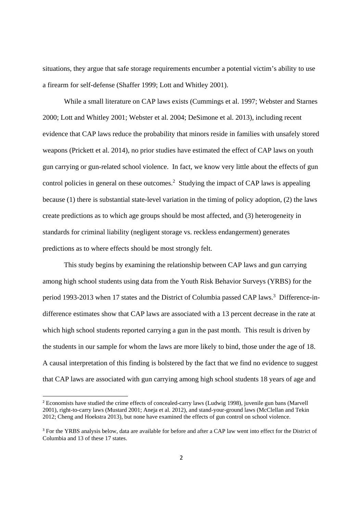situations, they argue that safe storage requirements encumber a potential victim's ability to use a firearm for self-defense (Shaffer 1999; Lott and Whitley 2001).

While a small literature on CAP laws exists (Cummings et al. 1997; Webster and Starnes 2000; Lott and Whitley 2001; Webster et al. 2004; DeSimone et al. 2013), including recent evidence that CAP laws reduce the probability that minors reside in families with unsafely stored weapons (Prickett et al. 2014), no prior studies have estimated the effect of CAP laws on youth gun carrying or gun-related school violence. In fact, we know very little about the effects of gun control policies in general on these outcomes.<sup>2</sup> Studying the impact of CAP laws is appealing because (1) there is substantial state-level variation in the timing of policy adoption, (2) the laws create predictions as to which age groups should be most affected, and (3) heterogeneity in standards for criminal liability (negligent storage vs. reckless endangerment) generates predictions as to where effects should be most strongly felt.

This study begins by examining the relationship between CAP laws and gun carrying among high school students using data from the Youth Risk Behavior Surveys (YRBS) for the period 1993-2013 when 17 states and the District of Columbia passed CAP laws.<sup>3</sup> Difference-indifference estimates show that CAP laws are associated with a 13 percent decrease in the rate at which high school students reported carrying a gun in the past month. This result is driven by the students in our sample for whom the laws are more likely to bind, those under the age of 18. A causal interpretation of this finding is bolstered by the fact that we find no evidence to suggest that CAP laws are associated with gun carrying among high school students 18 years of age and

<sup>2</sup> Economists have studied the crime effects of concealed-carry laws (Ludwig 1998), juvenile gun bans (Marvell 2001), right-to-carry laws (Mustard 2001; Aneja et al. 2012), and stand-your-ground laws (McClellan and Tekin 2012; Cheng and Hoekstra 2013), but none have examined the effects of gun control on school violence.

<sup>&</sup>lt;sup>3</sup> For the YRBS analysis below, data are available for before and after a CAP law went into effect for the District of Columbia and 13 of these 17 states.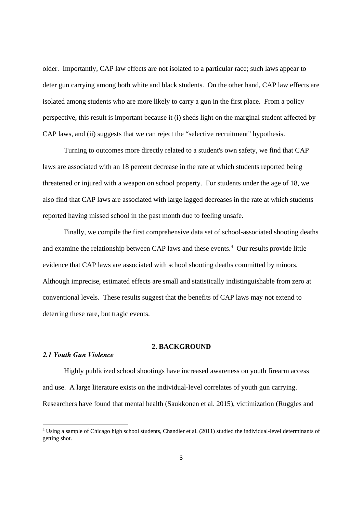older. Importantly, CAP law effects are not isolated to a particular race; such laws appear to deter gun carrying among both white and black students. On the other hand, CAP law effects are isolated among students who are more likely to carry a gun in the first place. From a policy perspective, this result is important because it (i) sheds light on the marginal student affected by CAP laws, and (ii) suggests that we can reject the "selective recruitment" hypothesis.

Turning to outcomes more directly related to a student's own safety, we find that CAP laws are associated with an 18 percent decrease in the rate at which students reported being threatened or injured with a weapon on school property. For students under the age of 18, we also find that CAP laws are associated with large lagged decreases in the rate at which students reported having missed school in the past month due to feeling unsafe.

 Finally, we compile the first comprehensive data set of school-associated shooting deaths and examine the relationship between CAP laws and these events.<sup>4</sup> Our results provide little evidence that CAP laws are associated with school shooting deaths committed by minors. Although imprecise, estimated effects are small and statistically indistinguishable from zero at conventional levels. These results suggest that the benefits of CAP laws may not extend to deterring these rare, but tragic events.

#### **2. BACKGROUND**

#### *2.1 Youth Gun Violence*

Highly publicized school shootings have increased awareness on youth firearm access and use. A large literature exists on the individual-level correlates of youth gun carrying. Researchers have found that mental health (Saukkonen et al. 2015), victimization (Ruggles and

<sup>4</sup> Using a sample of Chicago high school students, Chandler et al. (2011) studied the individual-level determinants of getting shot.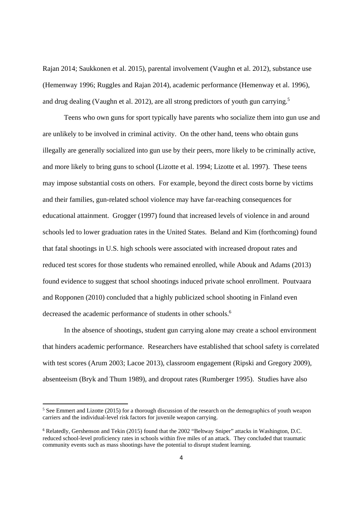Rajan 2014; Saukkonen et al. 2015), parental involvement (Vaughn et al. 2012), substance use (Hemenway 1996; Ruggles and Rajan 2014), academic performance (Hemenway et al. 1996), and drug dealing (Vaughn et al. 2012), are all strong predictors of youth gun carrying.<sup>5</sup>

Teens who own guns for sport typically have parents who socialize them into gun use and are unlikely to be involved in criminal activity. On the other hand, teens who obtain guns illegally are generally socialized into gun use by their peers, more likely to be criminally active, and more likely to bring guns to school (Lizotte et al. 1994; Lizotte et al. 1997). These teens may impose substantial costs on others. For example, beyond the direct costs borne by victims and their families, gun-related school violence may have far-reaching consequences for educational attainment. Grogger (1997) found that increased levels of violence in and around schools led to lower graduation rates in the United States. Beland and Kim (forthcoming) found that fatal shootings in U.S. high schools were associated with increased dropout rates and reduced test scores for those students who remained enrolled, while Abouk and Adams (2013) found evidence to suggest that school shootings induced private school enrollment. Poutvaara and Ropponen (2010) concluded that a highly publicized school shooting in Finland even decreased the academic performance of students in other schools.<sup>6</sup>

In the absence of shootings, student gun carrying alone may create a school environment that hinders academic performance. Researchers have established that school safety is correlated with test scores (Arum 2003; Lacoe 2013), classroom engagement (Ripski and Gregory 2009), absenteeism (Bryk and Thum 1989), and dropout rates (Rumberger 1995). Studies have also

<sup>&</sup>lt;sup>5</sup> See Emmert and Lizotte (2015) for a thorough discussion of the research on the demographics of youth weapon carriers and the individual-level risk factors for juvenile weapon carrying.

<sup>6</sup> Relatedly, Gershenson and Tekin (2015) found that the 2002 "Beltway Sniper" attacks in Washington, D.C. reduced school-level proficiency rates in schools within five miles of an attack. They concluded that traumatic community events such as mass shootings have the potential to disrupt student learning.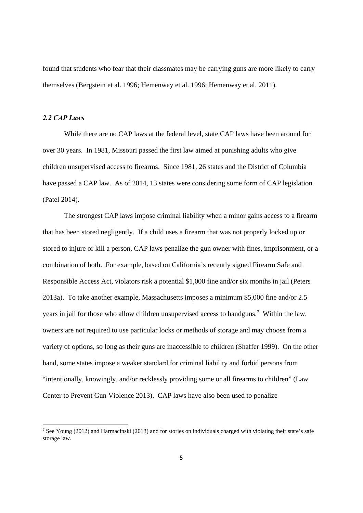found that students who fear that their classmates may be carrying guns are more likely to carry themselves (Bergstein et al. 1996; Hemenway et al. 1996; Hemenway et al. 2011).

#### *2.2 CAP Laws*

 While there are no CAP laws at the federal level, state CAP laws have been around for over 30 years. In 1981, Missouri passed the first law aimed at punishing adults who give children unsupervised access to firearms. Since 1981, 26 states and the District of Columbia have passed a CAP law. As of 2014, 13 states were considering some form of CAP legislation (Patel 2014).

 The strongest CAP laws impose criminal liability when a minor gains access to a firearm that has been stored negligently. If a child uses a firearm that was not properly locked up or stored to injure or kill a person, CAP laws penalize the gun owner with fines, imprisonment, or a combination of both. For example, based on California's recently signed Firearm Safe and Responsible Access Act, violators risk a potential \$1,000 fine and/or six months in jail (Peters 2013a). To take another example, Massachusetts imposes a minimum \$5,000 fine and/or 2.5 years in jail for those who allow children unsupervised access to handguns.<sup>7</sup> Within the law, owners are not required to use particular locks or methods of storage and may choose from a variety of options, so long as their guns are inaccessible to children (Shaffer 1999). On the other hand, some states impose a weaker standard for criminal liability and forbid persons from "intentionally, knowingly, and/or recklessly providing some or all firearms to children" (Law Center to Prevent Gun Violence 2013). CAP laws have also been used to penalize

<sup>7</sup> See Young (2012) and Harmacinski (2013) and for stories on individuals charged with violating their state's safe storage law.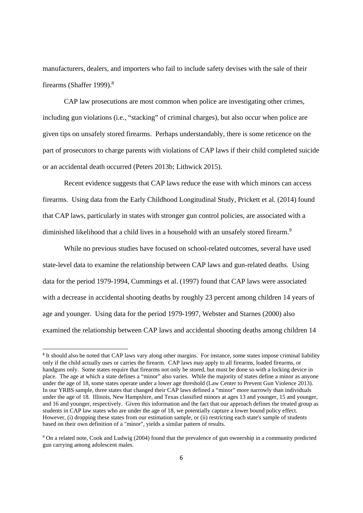manufacturers, dealers, and importers who fail to include safety devises with the sale of their firearms (Shaffer 1999).<sup>8</sup>

CAP law prosecutions are most common when police are investigating other crimes, including gun violations (i.e., "stacking" of criminal charges), but also occur when police are given tips on unsafely stored firearms. Perhaps understandably, there is some reticence on the part of prosecutors to charge parents with violations of CAP laws if their child completed suicide or an accidental death occurred (Peters 2013b; Lithwick 2015).

Recent evidence suggests that CAP laws reduce the ease with which minors can access firearms. Using data from the Early Childhood Longitudinal Study, Prickett et al. (2014) found that CAP laws, particularly in states with stronger gun control policies, are associated with a diminished likelihood that a child lives in a household with an unsafely stored firearm.<sup>9</sup>

 While no previous studies have focused on school-related outcomes, several have used state-level data to examine the relationship between CAP laws and gun-related deaths. Using data for the period 1979-1994, Cummings et al. (1997) found that CAP laws were associated with a decrease in accidental shooting deaths by roughly 23 percent among children 14 years of age and younger. Using data for the period 1979-1997, Webster and Starnes (2000) also examined the relationship between CAP laws and accidental shooting deaths among children 14

<sup>8</sup> It should also be noted that CAP laws vary along other margins. For instance, some states impose criminal liability only if the child actually uses or carries the firearm. CAP laws may apply to all firearms, loaded firearms, or handguns only. Some states require that firearms not only be stored, but must be done so with a locking device in place. The age at which a state defines a "minor" also varies. While the majority of states define a minor as anyone under the age of 18, some states operate under a lower age threshold (Law Center to Prevent Gun Violence 2013). In our YRBS sample, three states that changed their CAP laws defined a "minor" more narrowly than individuals under the age of 18. Illinois, New Hampshire, and Texas classified minors at ages 13 and younger, 15 and younger, and 16 and younger, respectively. Given this information and the fact that our approach defines the treated group as students in CAP law states who are under the age of 18, we potentially capture a lower bound policy effect. However, (i) dropping these states from our estimation sample, or (ii) restricting each state's sample of students based on their own definition of a "minor", yields a similar pattern of results.

<sup>9</sup> On a related note, Cook and Ludwig (2004) found that the prevalence of gun ownership in a community predicted gun carrying among adolescent males.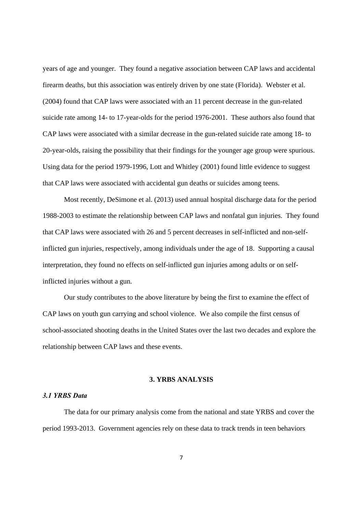years of age and younger. They found a negative association between CAP laws and accidental firearm deaths, but this association was entirely driven by one state (Florida). Webster et al. (2004) found that CAP laws were associated with an 11 percent decrease in the gun-related suicide rate among 14- to 17-year-olds for the period 1976-2001. These authors also found that CAP laws were associated with a similar decrease in the gun-related suicide rate among 18- to 20-year-olds, raising the possibility that their findings for the younger age group were spurious. Using data for the period 1979-1996, Lott and Whitley (2001) found little evidence to suggest that CAP laws were associated with accidental gun deaths or suicides among teens.

 Most recently, DeSimone et al. (2013) used annual hospital discharge data for the period 1988-2003 to estimate the relationship between CAP laws and nonfatal gun injuries. They found that CAP laws were associated with 26 and 5 percent decreases in self-inflicted and non-selfinflicted gun injuries, respectively, among individuals under the age of 18. Supporting a causal interpretation, they found no effects on self-inflicted gun injuries among adults or on selfinflicted injuries without a gun.

Our study contributes to the above literature by being the first to examine the effect of CAP laws on youth gun carrying and school violence. We also compile the first census of school-associated shooting deaths in the United States over the last two decades and explore the relationship between CAP laws and these events.

#### **3. YRBS ANALYSIS**

#### *3.1 YRBS Data*

 The data for our primary analysis come from the national and state YRBS and cover the period 1993-2013. Government agencies rely on these data to track trends in teen behaviors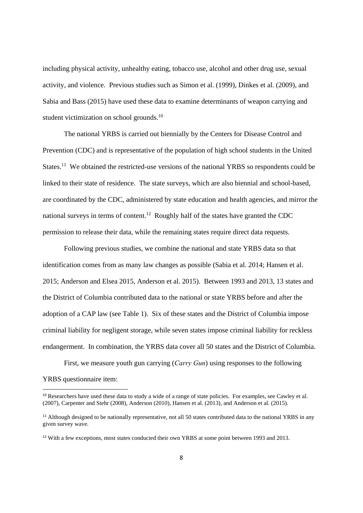including physical activity, unhealthy eating, tobacco use, alcohol and other drug use, sexual activity, and violence. Previous studies such as Simon et al. (1999), Dinkes et al. (2009), and Sabia and Bass (2015) have used these data to examine determinants of weapon carrying and student victimization on school grounds.<sup>10</sup>

 The national YRBS is carried out biennially by the Centers for Disease Control and Prevention (CDC) and is representative of the population of high school students in the United States.<sup>11</sup> We obtained the restricted-use versions of the national YRBS so respondents could be linked to their state of residence. The state surveys, which are also biennial and school-based, are coordinated by the CDC, administered by state education and health agencies, and mirror the national surveys in terms of content.<sup>12</sup> Roughly half of the states have granted the CDC permission to release their data, while the remaining states require direct data requests.

 Following previous studies, we combine the national and state YRBS data so that identification comes from as many law changes as possible (Sabia et al. 2014; Hansen et al. 2015; Anderson and Elsea 2015, Anderson et al. 2015). Between 1993 and 2013, 13 states and the District of Columbia contributed data to the national or state YRBS before and after the adoption of a CAP law (see Table 1). Six of these states and the District of Columbia impose criminal liability for negligent storage, while seven states impose criminal liability for reckless endangerment. In combination, the YRBS data cover all 50 states and the District of Columbia.

 First, we measure youth gun carrying (*Carry Gun*) using responses to the following YRBS questionnaire item:

<sup>&</sup>lt;sup>10</sup> Researchers have used these data to study a wide of a range of state policies. For examples, see Cawley et al. (2007), Carpenter and Stehr (2008), Anderson (2010), Hansen et al. (2013), and Anderson et al. (2015).

<sup>&</sup>lt;sup>11</sup> Although designed to be nationally representative, not all 50 states contributed data to the national YRBS in any given survey wave.

<sup>&</sup>lt;sup>12</sup> With a few exceptions, most states conducted their own YRBS at some point between 1993 and 2013.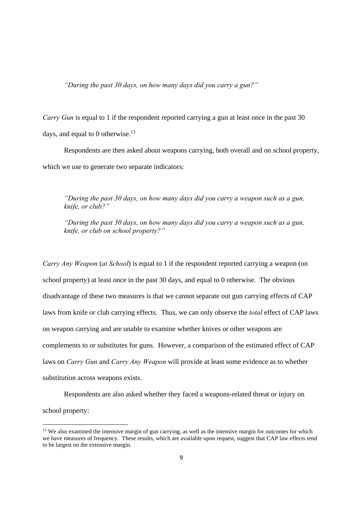*"During the past 30 days, on how many days did you carry a gun?"* 

*Carry Gun* is equal to 1 if the respondent reported carrying a gun at least once in the past 30 days, and equal to 0 otherwise. $^{13}$ 

 Respondents are then asked about weapons carrying, both overall and on school property, which we use to generate two separate indicators:

*"During the past 30 days, on how many days did you carry a weapon such as a gun, knife, or club?"* 

*"During the past 30 days, on how many days did you carry a weapon such as a gun, knife, or club on school property?"* 

*Carry Any Weapon* (*at School*) is equal to 1 if the respondent reported carrying a weapon (on school property) at least once in the past 30 days, and equal to 0 otherwise. The obvious disadvantage of these two measures is that we cannot separate out gun carrying effects of CAP laws from knife or club carrying effects. Thus, we can only observe the *total* effect of CAP laws on weapon carrying and are unable to examine whether knives or other weapons are complements to or substitutes for guns. However, a comparison of the estimated effect of CAP laws on *Carry Gun* and *Carry Any Weapon* will provide at least some evidence as to whether substitution across weapons exists.

 Respondents are also asked whether they faced a weapons-related threat or injury on school property:

<sup>&</sup>lt;sup>13</sup> We also examined the intensive margin of gun carrying, as well as the intensive margin for outcomes for which we have measures of frequency. These results, which are available upon request, suggest that CAP law effects tend to be largest on the extensive margin.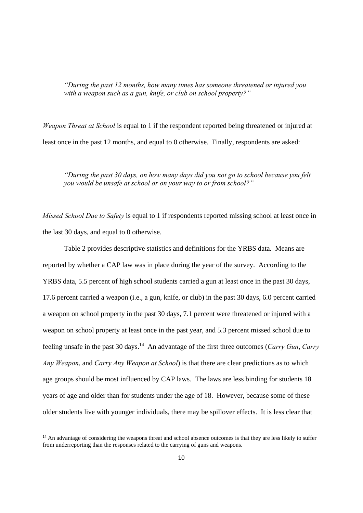*"During the past 12 months, how many times has someone threatened or injured you with a weapon such as a gun, knife, or club on school property?"* 

*Weapon Threat at School* is equal to 1 if the respondent reported being threatened or injured at least once in the past 12 months, and equal to 0 otherwise. Finally, respondents are asked:

*"During the past 30 days, on how many days did you not go to school because you felt you would be unsafe at school or on your way to or from school?"* 

*Missed School Due to Safety* is equal to 1 if respondents reported missing school at least once in the last 30 days, and equal to 0 otherwise.

Table 2 provides descriptive statistics and definitions for the YRBS data. Means are reported by whether a CAP law was in place during the year of the survey. According to the YRBS data, 5.5 percent of high school students carried a gun at least once in the past 30 days, 17.6 percent carried a weapon (i.e., a gun, knife, or club) in the past 30 days, 6.0 percent carried a weapon on school property in the past 30 days, 7.1 percent were threatened or injured with a weapon on school property at least once in the past year, and 5.3 percent missed school due to feeling unsafe in the past 30 days.14 An advantage of the first three outcomes (*Carry Gun*, *Carry Any Weapon*, and *Carry Any Weapon at School*) is that there are clear predictions as to which age groups should be most influenced by CAP laws. The laws are less binding for students 18 years of age and older than for students under the age of 18. However, because some of these older students live with younger individuals, there may be spillover effects. It is less clear that

<sup>&</sup>lt;sup>14</sup> An advantage of considering the weapons threat and school absence outcomes is that they are less likely to suffer from underreporting than the responses related to the carrying of guns and weapons.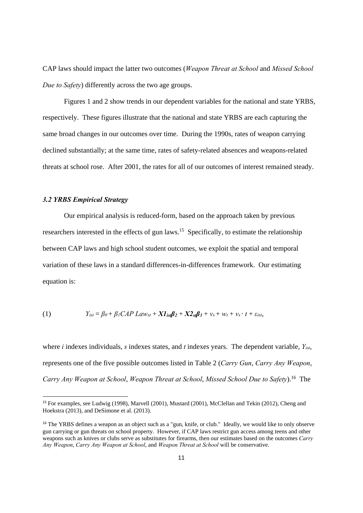CAP laws should impact the latter two outcomes (*Weapon Threat at School* and *Missed School Due to Safety*) differently across the two age groups.

 Figures 1 and 2 show trends in our dependent variables for the national and state YRBS, respectively. These figures illustrate that the national and state YRBS are each capturing the same broad changes in our outcomes over time. During the 1990s, rates of weapon carrying declined substantially; at the same time, rates of safety-related absences and weapons-related threats at school rose. After 2001, the rates for all of our outcomes of interest remained steady.

#### *3.2 YRBS Empirical Strategy*

 Our empirical analysis is reduced-form, based on the approach taken by previous researchers interested in the effects of gun laws.15 Specifically, to estimate the relationship between CAP laws and high school student outcomes, we exploit the spatial and temporal variation of these laws in a standard differences-in-differences framework. Our estimating equation is:

(1) 
$$
Y_{ist} = \beta_0 + \beta_1 CAP Law_{st} + XI_{ist}\beta_2 + X2_{st}\beta_3 + v_s + w_t + v_s \cdot t + \varepsilon_{ist},
$$

where *i* indexes individuals, *s* indexes states, and *t* indexes years. The dependent variable, *Yist*, represents one of the five possible outcomes listed in Table 2 (*Carry Gun*, *Carry Any Weapon*, *Carry Any Weapon at School*, *Weapon Threat at School*, *Missed School Due to Safety*).16 The

<sup>15</sup> For examples, see Ludwig (1998), Marvell (2001), Mustard (2001), McClellan and Tekin (2012), Cheng and Hoekstra (2013), and DeSimone et al. (2013).

<sup>&</sup>lt;sup>16</sup> The YRBS defines a weapon as an object such as a "gun, knife, or club." Ideally, we would like to only observe gun carrying or gun threats on school property. However, if CAP laws restrict gun access among teens and other weapons such as knives or clubs serve as substitutes for firearms, then our estimates based on the outcomes *Carry Any Weapon*, *Carry Any Weapon at School*, and *Weapon Threat at School* will be conservative.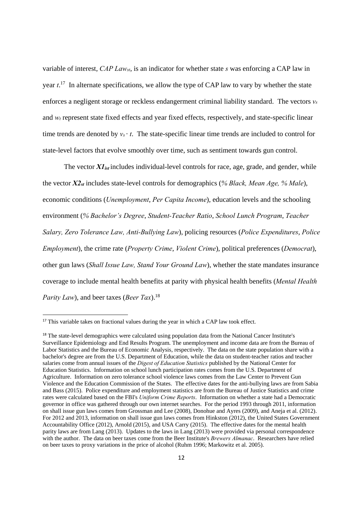variable of interest, *CAP Lawst*, is an indicator for whether state *s* was enforcing a CAP law in year *t*. 17 In alternate specifications, we allow the type of CAP law to vary by whether the state enforces a negligent storage or reckless endangerment criminal liability standard. The vectors *vs* and  $w_t$  represent state fixed effects and year fixed effects, respectively, and state-specific linear time trends are denoted by  $v_s \cdot t$ . The state-specific linear time trends are included to control for state-level factors that evolve smoothly over time, such as sentiment towards gun control.

The vector  $XI_{ist}$  includes individual-level controls for race, age, grade, and gender, while the vector *X2st* includes state-level controls for demographics (*% Black, Mean Age, % Male*), economic conditions (*Unemployment*, *Per Capita Income*), education levels and the schooling environment (*% Bachelor's Degree*, *Student-Teacher Ratio*, *School Lunch Program*, *Teacher Salary, Zero Tolerance Law, Anti-Bullying Law*), policing resources (*Police Expenditures*, *Police Employment*), the crime rate (*Property Crime*, *Violent Crime*), political preferences (*Democrat*), other gun laws (*Shall Issue Law, Stand Your Ground Law*), whether the state mandates insurance coverage to include mental health benefits at parity with physical health benefits (*Mental Health Parity Law*), and beer taxes (*Beer Tax*).18

<sup>&</sup>lt;sup>17</sup> This variable takes on fractional values during the year in which a CAP law took effect.

<sup>&</sup>lt;sup>18</sup> The state-level demographics were calculated using population data from the National Cancer Institute's Surveillance Epidemiology and End Results Program. The unemployment and income data are from the Bureau of Labor Statistics and the Bureau of Economic Analysis, respectively. The data on the state population share with a bachelor's degree are from the U.S. Department of Education, while the data on student-teacher ratios and teacher salaries come from annual issues of the *Digest of Education Statistics* published by the National Center for Education Statistics. Information on school lunch participation rates comes from the U.S. Department of Agriculture. Information on zero tolerance school violence laws comes from the Law Center to Prevent Gun Violence and the Education Commission of the States. The effective dates for the anti-bullying laws are from Sabia and Bass (2015). Police expenditure and employment statistics are from the Bureau of Justice Statistics and crime rates were calculated based on the FBI's *Uniform Crime Reports*. Information on whether a state had a Democratic governor in office was gathered through our own internet searches. For the period 1993 through 2011, information on shall issue gun laws comes from Grossman and Lee (2008), Donohue and Ayres (2009), and Aneja et al. (2012). For 2012 and 2013, information on shall issue gun laws comes from Hinkston (2012), the United States Government Accountability Office (2012), Arnold (2015), and USA Carry (2015). The effective dates for the mental health parity laws are from Lang (2013). Updates to the laws in Lang (2013) were provided via personal correspondence with the author. The data on beer taxes come from the Beer Institute's *Brewers Almanac*. Researchers have relied on beer taxes to proxy variations in the price of alcohol (Ruhm 1996; Markowitz et al. 2005).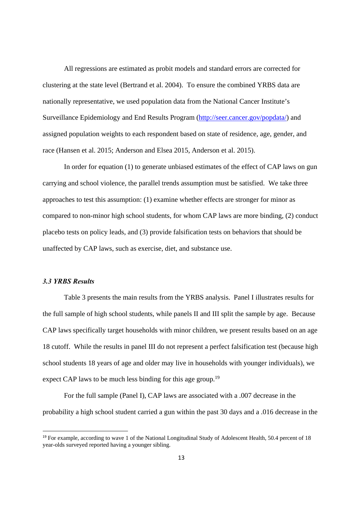All regressions are estimated as probit models and standard errors are corrected for clustering at the state level (Bertrand et al. 2004). To ensure the combined YRBS data are nationally representative, we used population data from the National Cancer Institute's Surveillance Epidemiology and End Results Program (http://seer.cancer.gov/popdata/) and assigned population weights to each respondent based on state of residence, age, gender, and race (Hansen et al. 2015; Anderson and Elsea 2015, Anderson et al. 2015).

In order for equation (1) to generate unbiased estimates of the effect of CAP laws on gun carrying and school violence, the parallel trends assumption must be satisfied. We take three approaches to test this assumption: (1) examine whether effects are stronger for minor as compared to non-minor high school students, for whom CAP laws are more binding, (2) conduct placebo tests on policy leads, and (3) provide falsification tests on behaviors that should be unaffected by CAP laws, such as exercise, diet, and substance use.

#### *3.3 YRBS Results*

 Table 3 presents the main results from the YRBS analysis. Panel I illustrates results for the full sample of high school students, while panels II and III split the sample by age. Because CAP laws specifically target households with minor children, we present results based on an age 18 cutoff. While the results in panel III do not represent a perfect falsification test (because high school students 18 years of age and older may live in households with younger individuals), we expect CAP laws to be much less binding for this age group.<sup>19</sup>

 For the full sample (Panel I), CAP laws are associated with a .007 decrease in the probability a high school student carried a gun within the past 30 days and a .016 decrease in the

<sup>&</sup>lt;sup>19</sup> For example, according to wave 1 of the National Longitudinal Study of Adolescent Health, 50.4 percent of 18 year-olds surveyed reported having a younger sibling.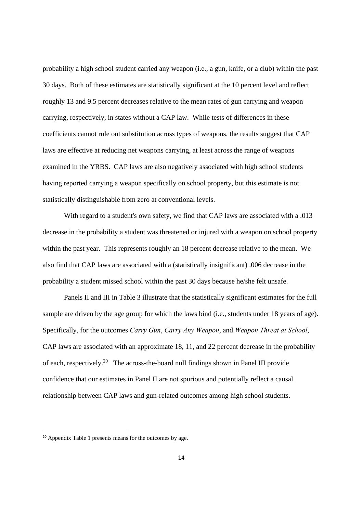probability a high school student carried any weapon (i.e., a gun, knife, or a club) within the past 30 days. Both of these estimates are statistically significant at the 10 percent level and reflect roughly 13 and 9.5 percent decreases relative to the mean rates of gun carrying and weapon carrying, respectively, in states without a CAP law. While tests of differences in these coefficients cannot rule out substitution across types of weapons, the results suggest that CAP laws are effective at reducing net weapons carrying, at least across the range of weapons examined in the YRBS. CAP laws are also negatively associated with high school students having reported carrying a weapon specifically on school property, but this estimate is not statistically distinguishable from zero at conventional levels.

 With regard to a student's own safety, we find that CAP laws are associated with a .013 decrease in the probability a student was threatened or injured with a weapon on school property within the past year. This represents roughly an 18 percent decrease relative to the mean. We also find that CAP laws are associated with a (statistically insignificant) .006 decrease in the probability a student missed school within the past 30 days because he/she felt unsafe.

 Panels II and III in Table 3 illustrate that the statistically significant estimates for the full sample are driven by the age group for which the laws bind (i.e., students under 18 years of age). Specifically, for the outcomes *Carry Gun*, *Carry Any Weapon*, and *Weapon Threat at School*, CAP laws are associated with an approximate 18, 11, and 22 percent decrease in the probability of each, respectively.20 The across-the-board null findings shown in Panel III provide confidence that our estimates in Panel II are not spurious and potentially reflect a causal relationship between CAP laws and gun-related outcomes among high school students.

<sup>20</sup> Appendix Table 1 presents means for the outcomes by age.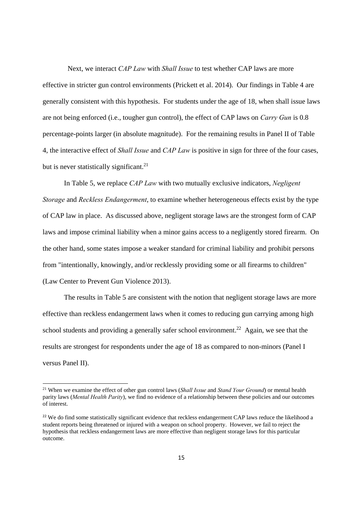Next, we interact *CAP Law* with *Shall Issue* to test whether CAP laws are more effective in stricter gun control environments (Prickett et al. 2014). Our findings in Table 4 are generally consistent with this hypothesis. For students under the age of 18, when shall issue laws are not being enforced (i.e., tougher gun control), the effect of CAP laws on *Carry Gun* is 0.8 percentage-points larger (in absolute magnitude). For the remaining results in Panel II of Table 4, the interactive effect of *Shall Issue* and *CAP Law* is positive in sign for three of the four cases, but is never statistically significant.<sup>21</sup>

 In Table 5, we replace *CAP Law* with two mutually exclusive indicators, *Negligent Storage* and *Reckless Endangerment*, to examine whether heterogeneous effects exist by the type of CAP law in place. As discussed above, negligent storage laws are the strongest form of CAP laws and impose criminal liability when a minor gains access to a negligently stored firearm. On the other hand, some states impose a weaker standard for criminal liability and prohibit persons from "intentionally, knowingly, and/or recklessly providing some or all firearms to children" (Law Center to Prevent Gun Violence 2013).

 The results in Table 5 are consistent with the notion that negligent storage laws are more effective than reckless endangerment laws when it comes to reducing gun carrying among high school students and providing a generally safer school environment.<sup>22</sup> Again, we see that the results are strongest for respondents under the age of 18 as compared to non-minors (Panel I versus Panel II).

<sup>21</sup> When we examine the effect of other gun control laws (*Shall Issue* and *Stand Your Ground*) or mental health parity laws (*Mental Health Parity*), we find no evidence of a relationship between these policies and our outcomes of interest.

<sup>&</sup>lt;sup>22</sup> We do find some statistically significant evidence that reckless endangerment CAP laws reduce the likelihood a student reports being threatened or injured with a weapon on school property. However, we fail to reject the hypothesis that reckless endangerment laws are more effective than negligent storage laws for this particular outcome.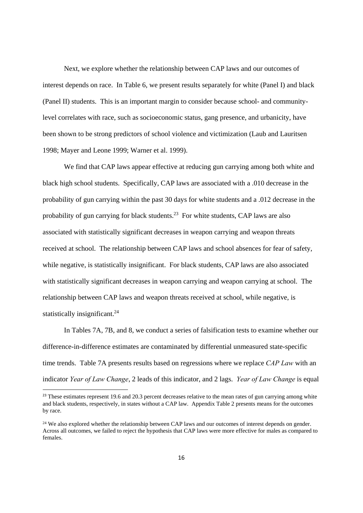Next, we explore whether the relationship between CAP laws and our outcomes of interest depends on race. In Table 6, we present results separately for white (Panel I) and black (Panel II) students. This is an important margin to consider because school- and communitylevel correlates with race, such as socioeconomic status, gang presence, and urbanicity, have been shown to be strong predictors of school violence and victimization (Laub and Lauritsen 1998; Mayer and Leone 1999; Warner et al. 1999).

We find that CAP laws appear effective at reducing gun carrying among both white and black high school students. Specifically, CAP laws are associated with a .010 decrease in the probability of gun carrying within the past 30 days for white students and a .012 decrease in the probability of gun carrying for black students.<sup>23</sup> For white students, CAP laws are also associated with statistically significant decreases in weapon carrying and weapon threats received at school. The relationship between CAP laws and school absences for fear of safety, while negative, is statistically insignificant. For black students, CAP laws are also associated with statistically significant decreases in weapon carrying and weapon carrying at school. The relationship between CAP laws and weapon threats received at school, while negative, is statistically insignificant.<sup>24</sup>

In Tables 7A, 7B, and 8, we conduct a series of falsification tests to examine whether our difference-in-difference estimates are contaminated by differential unmeasured state-specific time trends. Table 7A presents results based on regressions where we replace *CAP Law* with an indicator *Year of Law Change*, 2 leads of this indicator, and 2 lags. *Year of Law Change* is equal

<sup>&</sup>lt;sup>23</sup> These estimates represent 19.6 and 20.3 percent decreases relative to the mean rates of gun carrying among white and black students, respectively, in states without a CAP law. Appendix Table 2 presents means for the outcomes by race.

<sup>&</sup>lt;sup>24</sup> We also explored whether the relationship between CAP laws and our outcomes of interest depends on gender. Across all outcomes, we failed to reject the hypothesis that CAP laws were more effective for males as compared to females.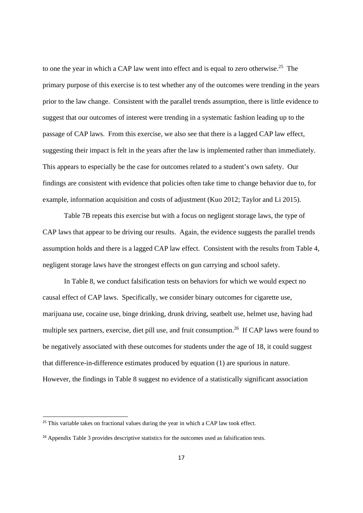to one the year in which a CAP law went into effect and is equal to zero otherwise.<sup>25</sup> The primary purpose of this exercise is to test whether any of the outcomes were trending in the years prior to the law change. Consistent with the parallel trends assumption, there is little evidence to suggest that our outcomes of interest were trending in a systematic fashion leading up to the passage of CAP laws. From this exercise, we also see that there is a lagged CAP law effect, suggesting their impact is felt in the years after the law is implemented rather than immediately. This appears to especially be the case for outcomes related to a student's own safety. Our findings are consistent with evidence that policies often take time to change behavior due to, for example, information acquisition and costs of adjustment (Kuo 2012; Taylor and Li 2015).

Table 7B repeats this exercise but with a focus on negligent storage laws, the type of CAP laws that appear to be driving our results. Again, the evidence suggests the parallel trends assumption holds and there is a lagged CAP law effect. Consistent with the results from Table 4, negligent storage laws have the strongest effects on gun carrying and school safety.

 In Table 8, we conduct falsification tests on behaviors for which we would expect no causal effect of CAP laws. Specifically, we consider binary outcomes for cigarette use, marijuana use, cocaine use, binge drinking, drunk driving, seatbelt use, helmet use, having had multiple sex partners, exercise, diet pill use, and fruit consumption.<sup>26</sup> If CAP laws were found to be negatively associated with these outcomes for students under the age of 18, it could suggest that difference-in-difference estimates produced by equation (1) are spurious in nature. However, the findings in Table 8 suggest no evidence of a statistically significant association

<sup>&</sup>lt;sup>25</sup> This variable takes on fractional values during the year in which a CAP law took effect.

<sup>&</sup>lt;sup>26</sup> Appendix Table 3 provides descriptive statistics for the outcomes used as falsification tests.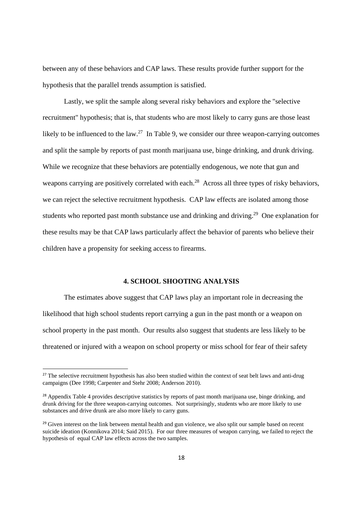between any of these behaviors and CAP laws. These results provide further support for the hypothesis that the parallel trends assumption is satisfied.

 Lastly, we split the sample along several risky behaviors and explore the "selective recruitment" hypothesis; that is, that students who are most likely to carry guns are those least likely to be influenced to the law.<sup>27</sup> In Table 9, we consider our three weapon-carrying outcomes and split the sample by reports of past month marijuana use, binge drinking, and drunk driving. While we recognize that these behaviors are potentially endogenous, we note that gun and weapons carrying are positively correlated with each.<sup>28</sup> Across all three types of risky behaviors, we can reject the selective recruitment hypothesis. CAP law effects are isolated among those students who reported past month substance use and drinking and driving.<sup>29</sup> One explanation for these results may be that CAP laws particularly affect the behavior of parents who believe their children have a propensity for seeking access to firearms.

#### **4. SCHOOL SHOOTING ANALYSIS**

 The estimates above suggest that CAP laws play an important role in decreasing the likelihood that high school students report carrying a gun in the past month or a weapon on school property in the past month. Our results also suggest that students are less likely to be threatened or injured with a weapon on school property or miss school for fear of their safety

<sup>&</sup>lt;sup>27</sup> The selective recruitment hypothesis has also been studied within the context of seat belt laws and anti-drug campaigns (Dee 1998; Carpenter and Stehr 2008; Anderson 2010).

<sup>&</sup>lt;sup>28</sup> Appendix Table 4 provides descriptive statistics by reports of past month marijuana use, binge drinking, and drunk driving for the three weapon-carrying outcomes. Not surprisingly, students who are more likely to use substances and drive drunk are also more likely to carry guns.

<sup>&</sup>lt;sup>29</sup> Given interest on the link between mental health and gun violence, we also split our sample based on recent suicide ideation (Konnikova 2014; Said 2015). For our three measures of weapon carrying, we failed to reject the hypothesis of equal CAP law effects across the two samples.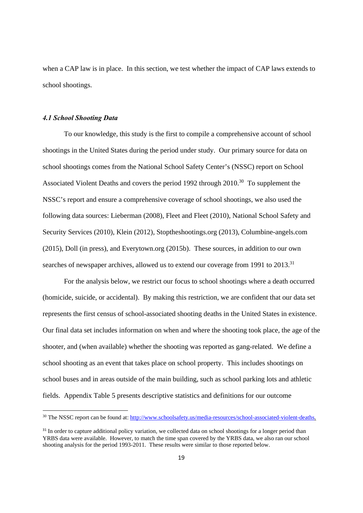when a CAP law is in place. In this section, we test whether the impact of CAP laws extends to school shootings.

#### *4.1 School Shooting Data*

 To our knowledge, this study is the first to compile a comprehensive account of school shootings in the United States during the period under study. Our primary source for data on school shootings comes from the National School Safety Center's (NSSC) report on School Associated Violent Deaths and covers the period 1992 through 2010.<sup>30</sup> To supplement the NSSC's report and ensure a comprehensive coverage of school shootings, we also used the following data sources: Lieberman (2008), Fleet and Fleet (2010), National School Safety and Security Services (2010), Klein (2012), Stoptheshootings.org (2013), Columbine-angels.com (2015), Doll (in press), and Everytown.org (2015b). These sources, in addition to our own searches of newspaper archives, allowed us to extend our coverage from 1991 to 2013.<sup>31</sup>

For the analysis below, we restrict our focus to school shootings where a death occurred (homicide, suicide, or accidental). By making this restriction, we are confident that our data set represents the first census of school-associated shooting deaths in the United States in existence. Our final data set includes information on when and where the shooting took place, the age of the shooter, and (when available) whether the shooting was reported as gang-related. We define a school shooting as an event that takes place on school property. This includes shootings on school buses and in areas outside of the main building, such as school parking lots and athletic fields. Appendix Table 5 presents descriptive statistics and definitions for our outcome

<sup>30</sup> The NSSC report can be found at: http://www.schoolsafety.us/media-resources/school-associated-violent-deaths.

<sup>&</sup>lt;sup>31</sup> In order to capture additional policy variation, we collected data on school shootings for a longer period than YRBS data were available. However, to match the time span covered by the YRBS data, we also ran our school shooting analysis for the period 1993-2011. These results were similar to those reported below.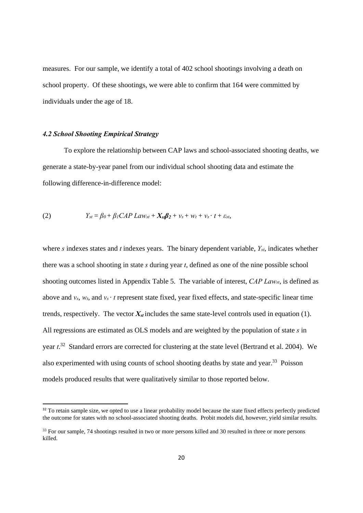measures. For our sample, we identify a total of 402 school shootings involving a death on school property. Of these shootings, we were able to confirm that 164 were committed by individuals under the age of 18.

#### *4.2 School Shooting Empirical Strategy*

To explore the relationship between CAP laws and school-associated shooting deaths, we generate a state-by-year panel from our individual school shooting data and estimate the following difference-in-difference model:

(2) 
$$
Y_{st} = \beta_0 + \beta_1 CAP Law_{st} + X_{st}\beta_2 + v_s + w_t + v_s \cdot t + \varepsilon_{st},
$$

where *s* indexes states and *t* indexes years. The binary dependent variable, *Yst*, indicates whether there was a school shooting in state *s* during year *t*, defined as one of the nine possible school shooting outcomes listed in Appendix Table 5. The variable of interest, *CAP Lawst*, is defined as above and *vs*, *wt*, and *vs* · *t* represent state fixed, year fixed effects, and state-specific linear time trends, respectively. The vector  $X_{st}$  includes the same state-level controls used in equation (1). All regressions are estimated as OLS models and are weighted by the population of state *s* in year *t*. 32 Standard errors are corrected for clustering at the state level (Bertrand et al. 2004). We also experimented with using counts of school shooting deaths by state and year.<sup>33</sup> Poisson models produced results that were qualitatively similar to those reported below.

<sup>&</sup>lt;sup>32</sup> To retain sample size, we opted to use a linear probability model because the state fixed effects perfectly predicted the outcome for states with no school-associated shooting deaths. Probit models did, however, yield similar results.

<sup>&</sup>lt;sup>33</sup> For our sample, 74 shootings resulted in two or more persons killed and 30 resulted in three or more persons killed.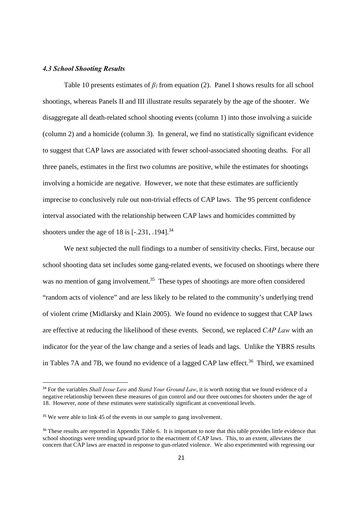#### *4.3 School Shooting Results*

 Table 10 presents estimates of *β1* from equation (2). Panel I shows results for all school shootings, whereas Panels II and III illustrate results separately by the age of the shooter. We disaggregate all death-related school shooting events (column 1) into those involving a suicide (column 2) and a homicide (column 3). In general, we find no statistically significant evidence to suggest that CAP laws are associated with fewer school-associated shooting deaths. For all three panels, estimates in the first two columns are positive, while the estimates for shootings involving a homicide are negative. However, we note that these estimates are sufficiently imprecise to conclusively rule out non-trivial effects of CAP laws. The 95 percent confidence interval associated with the relationship between CAP laws and homicides committed by shooters under the age of 18 is  $[-.231, .194]^{34}$ 

We next subjected the null findings to a number of sensitivity checks. First, because our school shooting data set includes some gang-related events, we focused on shootings where there was no mention of gang involvement.<sup>35</sup> These types of shootings are more often considered "random acts of violence" and are less likely to be related to the community's underlying trend of violent crime (Midlarsky and Klain 2005). We found no evidence to suggest that CAP laws are effective at reducing the likelihood of these events. Second, we replaced *CAP Law* with an indicator for the year of the law change and a series of leads and lags. Unlike the YBRS results in Tables 7A and 7B, we found no evidence of a lagged CAP law effect.<sup>36</sup> Third, we examined

<sup>34</sup> For the variables *Shall Issue Law* and *Stand Your Ground Law*, it is worth noting that we found evidence of a negative relationship between these measures of gun control and our three outcomes for shooters under the age of 18. However, none of these estimates were statistically significant at conventional levels.

<sup>&</sup>lt;sup>35</sup> We were able to link 45 of the events in our sample to gang involvement.

<sup>&</sup>lt;sup>36</sup> These results are reported in Appendix Table 6. It is important to note that this table provides little evidence that school shootings were trending upward prior to the enactment of CAP laws. This, to an extent, alleviates the concern that CAP laws are enacted in response to gun-related violence. We also experimented with regressing our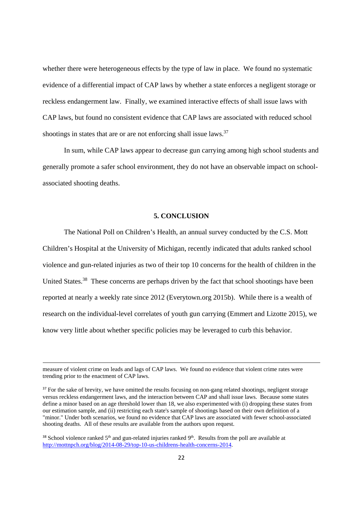whether there were heterogeneous effects by the type of law in place. We found no systematic evidence of a differential impact of CAP laws by whether a state enforces a negligent storage or reckless endangerment law. Finally, we examined interactive effects of shall issue laws with CAP laws, but found no consistent evidence that CAP laws are associated with reduced school shootings in states that are or are not enforcing shall issue laws.<sup>37</sup>

In sum, while CAP laws appear to decrease gun carrying among high school students and generally promote a safer school environment, they do not have an observable impact on schoolassociated shooting deaths.

#### **5. CONCLUSION**

The National Poll on Children's Health, an annual survey conducted by the C.S. Mott Children's Hospital at the University of Michigan, recently indicated that adults ranked school violence and gun-related injuries as two of their top 10 concerns for the health of children in the United States.<sup>38</sup> These concerns are perhaps driven by the fact that school shootings have been reported at nearly a weekly rate since 2012 (Everytown.org 2015b). While there is a wealth of research on the individual-level correlates of youth gun carrying (Emmert and Lizotte 2015), we know very little about whether specific policies may be leveraged to curb this behavior.

and the contract of the contract of the contract of the contract of the contract of the contract of the contract of

measure of violent crime on leads and lags of CAP laws. We found no evidence that violent crime rates were trending prior to the enactment of CAP laws.

<sup>&</sup>lt;sup>37</sup> For the sake of brevity, we have omitted the results focusing on non-gang related shootings, negligent storage versus reckless endangerment laws, and the interaction between CAP and shall issue laws. Because some states define a minor based on an age threshold lower than 18, we also experimented with (i) dropping these states from our estimation sample, and (ii) restricting each state's sample of shootings based on their own definition of a "minor." Under both scenarios, we found no evidence that CAP laws are associated with fewer school-associated shooting deaths. All of these results are available from the authors upon request.

<sup>&</sup>lt;sup>38</sup> School violence ranked 5<sup>th</sup> and gun-related injuries ranked 9<sup>th</sup>. Results from the poll are available at http://mottnpch.org/blog/2014-08-29/top-10-us-childrens-health-concerns-2014.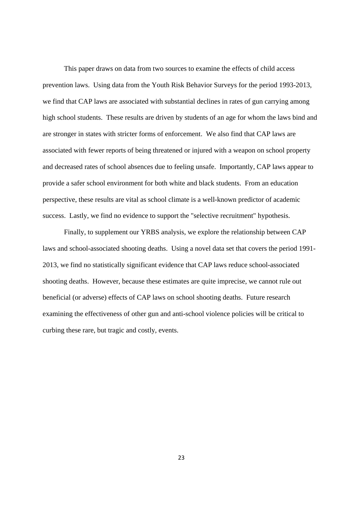This paper draws on data from two sources to examine the effects of child access prevention laws. Using data from the Youth Risk Behavior Surveys for the period 1993-2013, we find that CAP laws are associated with substantial declines in rates of gun carrying among high school students. These results are driven by students of an age for whom the laws bind and are stronger in states with stricter forms of enforcement. We also find that CAP laws are associated with fewer reports of being threatened or injured with a weapon on school property and decreased rates of school absences due to feeling unsafe. Importantly, CAP laws appear to provide a safer school environment for both white and black students. From an education perspective, these results are vital as school climate is a well-known predictor of academic success. Lastly, we find no evidence to support the "selective recruitment" hypothesis.

Finally, to supplement our YRBS analysis, we explore the relationship between CAP laws and school-associated shooting deaths. Using a novel data set that covers the period 1991- 2013, we find no statistically significant evidence that CAP laws reduce school-associated shooting deaths. However, because these estimates are quite imprecise, we cannot rule out beneficial (or adverse) effects of CAP laws on school shooting deaths. Future research examining the effectiveness of other gun and anti-school violence policies will be critical to curbing these rare, but tragic and costly, events.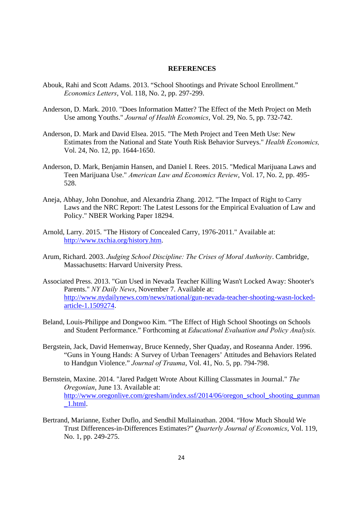#### **REFERENCES**

- Abouk, Rahi and Scott Adams. 2013. "School Shootings and Private School Enrollment." *Economics Letters*, Vol. 118, No. 2, pp. 297-299.
- Anderson, D. Mark. 2010. "Does Information Matter? The Effect of the Meth Project on Meth Use among Youths." *Journal of Health Economics*, Vol. 29, No. 5, pp. 732-742.
- Anderson, D. Mark and David Elsea. 2015. "The Meth Project and Teen Meth Use: New Estimates from the National and State Youth Risk Behavior Surveys." *Health Economics,*  Vol. 24, No. 12, pp. 1644-1650.
- Anderson, D. Mark, Benjamin Hansen, and Daniel I. Rees. 2015. "Medical Marijuana Laws and Teen Marijuana Use." *American Law and Economics Review*, Vol. 17, No. 2, pp. 495- 528.
- Aneja, Abhay, John Donohue, and Alexandria Zhang. 2012. "The Impact of Right to Carry Laws and the NRC Report: The Latest Lessons for the Empirical Evaluation of Law and Policy." NBER Working Paper 18294.
- Arnold, Larry. 2015. "The History of Concealed Carry, 1976-2011." Available at: http://www.txchia.org/history.htm.
- Arum, Richard. 2003. *Judging School Discipline: The Crises of Moral Authority*. Cambridge, Massachusetts: Harvard University Press.
- Associated Press. 2013. "Gun Used in Nevada Teacher Killing Wasn't Locked Away: Shooter's Parents." *NY Daily News*, November 7. Available at: http://www.nydailynews.com/news/national/gun-nevada-teacher-shooting-wasn-locked article-1.1509274.
- Beland, Louis-Philippe and Dongwoo Kim. "The Effect of High School Shootings on Schools and Student Performance." Forthcoming at *Educational Evaluation and Policy Analysis.*
- Bergstein, Jack, David Hemenway, Bruce Kennedy, Sher Quaday, and Roseanna Ander. 1996. "Guns in Young Hands: A Survey of Urban Teenagers' Attitudes and Behaviors Related to Handgun Violence." *Journal of Trauma*, Vol. 41, No. 5, pp. 794-798.
- Bernstein, Maxine. 2014. "Jared Padgett Wrote About Killing Classmates in Journal." *The Oregonian*, June 13. Available at: http://www.oregonlive.com/gresham/index.ssf/2014/06/oregon\_school\_shooting\_gunman  $\_1.html$ .
- Bertrand, Marianne, Esther Duflo, and Sendhil Mullainathan. 2004. "How Much Should We Trust Differences-in-Differences Estimates?" *Quarterly Journal of Economics*, Vol. 119, No. 1, pp. 249-275.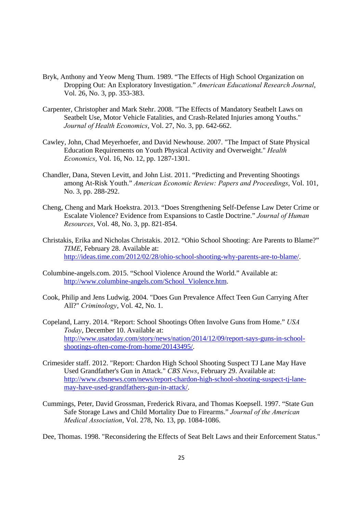- Bryk, Anthony and Yeow Meng Thum. 1989. "The Effects of High School Organization on Dropping Out: An Exploratory Investigation." *American Educational Research Journal*, Vol. 26, No. 3, pp. 353-383.
- Carpenter, Christopher and Mark Stehr. 2008. "The Effects of Mandatory Seatbelt Laws on Seatbelt Use, Motor Vehicle Fatalities, and Crash-Related Injuries among Youths." *Journal of Health Economics*, Vol. 27, No. 3, pp. 642-662.
- Cawley, John, Chad Meyerhoefer, and David Newhouse. 2007. "The Impact of State Physical Education Requirements on Youth Physical Activity and Overweight." *Health Economics*, Vol. 16, No. 12, pp. 1287-1301.
- Chandler, Dana, Steven Levitt, and John List. 2011. "Predicting and Preventing Shootings among At-Risk Youth." *American Economic Review: Papers and Proceedings*, Vol. 101, No. 3, pp. 288-292.
- Cheng, Cheng and Mark Hoekstra. 2013. "Does Strengthening Self-Defense Law Deter Crime or Escalate Violence? Evidence from Expansions to Castle Doctrine." *Journal of Human Resources*, Vol. 48, No. 3, pp. 821-854.
- Christakis, Erika and Nicholas Christakis. 2012. "Ohio School Shooting: Are Parents to Blame?" *TIME*, February 28. Available at: http://ideas.time.com/2012/02/28/ohio-school-shooting-why-parents-are-to-blame/.
- Columbine-angels.com. 2015. "School Violence Around the World." Available at: http://www.columbine-angels.com/School\_Violence.htm.
- Cook, Philip and Jens Ludwig. 2004. "Does Gun Prevalence Affect Teen Gun Carrying After All?" *Criminology*, Vol. 42, No. 1.
- Copeland, Larry. 2014. "Report: School Shootings Often Involve Guns from Home." *USA Today*, December 10. Available at: http://www.usatoday.com/story/news/nation/2014/12/09/report-says-guns-in-schoolshootings-often-come-from-home/20143495/.
- Crimesider staff. 2012. "Report: Chardon High School Shooting Suspect TJ Lane May Have Used Grandfather's Gun in Attack." *CBS News*, February 29. Available at: http://www.cbsnews.com/news/report-chardon-high-school-shooting-suspect-tj-lane may-have-used-grandfathers-gun-in-attack/.
- Cummings, Peter, David Grossman, Frederick Rivara, and Thomas Koepsell. 1997. "State Gun Safe Storage Laws and Child Mortality Due to Firearms." *Journal of the American Medical Association*, Vol. 278, No. 13, pp. 1084-1086.

Dee, Thomas. 1998. "Reconsidering the Effects of Seat Belt Laws and their Enforcement Status."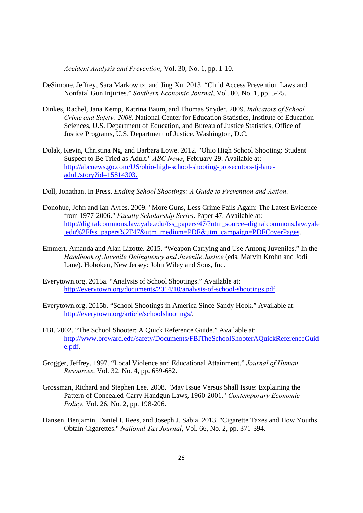*Accident Analysis and Prevention*, Vol. 30, No. 1, pp. 1-10.

- DeSimone, Jeffrey, Sara Markowitz, and Jing Xu. 2013. "Child Access Prevention Laws and Nonfatal Gun Injuries." *Southern Economic Journal*, Vol. 80, No. 1, pp. 5-25.
- Dinkes, Rachel, Jana Kemp, Katrina Baum, and Thomas Snyder. 2009. *Indicators of School Crime and Safety: 2008.* National Center for Education Statistics, Institute of Education Sciences, U.S. Department of Education, and Bureau of Justice Statistics, Office of Justice Programs, U.S. Department of Justice. Washington, D.C.
- Dolak, Kevin, Christina Ng, and Barbara Lowe. 2012. "Ohio High School Shooting: Student Suspect to Be Tried as Adult." *ABC News*, February 29. Available at: http://abcnews.go.com/US/ohio-high-school-shooting-prosecutors-tj-lane adult/story?id=15814303.
- Doll, Jonathan. In Press. *Ending School Shootings: A Guide to Prevention and Action*.
- Donohue, John and Ian Ayres. 2009. "More Guns, Less Crime Fails Again: The Latest Evidence from 1977-2006." *Faculty Scholarship Series*. Paper 47. Available at: http://digitalcommons.law.yale.edu/fss\_papers/47/?utm\_source=digitalcommons.law.yale .edu%2Ffss\_papers%2F47&utm\_medium=PDF&utm\_campaign=PDFCoverPages.
- Emmert, Amanda and Alan Lizotte. 2015. "Weapon Carrying and Use Among Juveniles." In the *Handbook of Juvenile Delinquency and Juvenile Justice* (eds. Marvin Krohn and Jodi Lane). Hoboken, New Jersey: John Wiley and Sons, Inc.
- Everytown.org. 2015a. "Analysis of School Shootings." Available at: http://everytown.org/documents/2014/10/analysis-of-school-shootings.pdf.
- Everytown.org. 2015b. "School Shootings in America Since Sandy Hook." Available at: http://everytown.org/article/schoolshootings/.
- FBI. 2002. "The School Shooter: A Quick Reference Guide." Available at: http://www.broward.edu/safety/Documents/FBITheSchoolShooterAQuickReferenceGuid e.pdf.
- Grogger, Jeffrey. 1997. "Local Violence and Educational Attainment." *Journal of Human Resources*, Vol. 32, No. 4, pp. 659-682.
- Grossman, Richard and Stephen Lee. 2008. "May Issue Versus Shall Issue: Explaining the Pattern of Concealed-Carry Handgun Laws, 1960-2001." *Contemporary Economic Policy*, Vol. 26, No. 2, pp. 198-206.
- Hansen, Benjamin, Daniel I. Rees, and Joseph J. Sabia. 2013. "Cigarette Taxes and How Youths Obtain Cigarettes." *National Tax Journal*, Vol. 66, No. 2, pp. 371-394.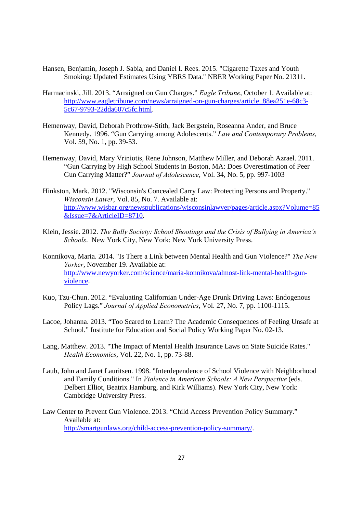- Hansen, Benjamin, Joseph J. Sabia, and Daniel I. Rees. 2015. "Cigarette Taxes and Youth Smoking: Updated Estimates Using YBRS Data." NBER Working Paper No. 21311.
- Harmacinski, Jill. 2013. "Arraigned on Gun Charges." *Eagle Tribune*, October 1. Available at: http://www.eagletribune.com/news/arraigned-on-gun-charges/article\_88ea251e-68c3- 5c67-9793-22dda607c5fc.html.
- Hemenway, David, Deborah Prothrow-Stith, Jack Bergstein, Roseanna Ander, and Bruce Kennedy. 1996. "Gun Carrying among Adolescents." *Law and Contemporary Problems*, Vol. 59, No. 1, pp. 39-53.
- Hemenway, David, Mary Vriniotis, Rene Johnson, Matthew Miller, and Deborah Azrael. 2011. "Gun Carrying by High School Students in Boston, MA: Does Overestimation of Peer Gun Carrying Matter?" *Journal of Adolescence*, Vol. 34, No. 5, pp. 997-1003
- Hinkston, Mark. 2012. "Wisconsin's Concealed Carry Law: Protecting Persons and Property." *Wisconsin Lawer*, Vol. 85, No. 7. Available at: http://www.wisbar.org/newspublications/wisconsinlawyer/pages/article.aspx?Volume=85 &Issue=7&ArticleID=8710.
- Klein, Jessie. 2012. *The Bully Society: School Shootings and the Crisis of Bullying in America's Schools*. New York City, New York: New York University Press.
- Konnikova, Maria. 2014. "Is There a Link between Mental Health and Gun Violence?" *The New Yorker*, November 19. Available at: http://www.newyorker.com/science/maria-konnikova/almost-link-mental-health-gun violence.
- Kuo, Tzu-Chun. 2012. "Evaluating Californian Under-Age Drunk Driving Laws: Endogenous Policy Lags." *Journal of Applied Econometrics*, Vol. 27, No. 7, pp. 1100-1115.
- Lacoe, Johanna. 2013. "Too Scared to Learn? The Academic Consequences of Feeling Unsafe at School." Institute for Education and Social Policy Working Paper No. 02-13.
- Lang, Matthew. 2013. "The Impact of Mental Health Insurance Laws on State Suicide Rates." *Health Economics*, Vol. 22, No. 1, pp. 73-88.
- Laub, John and Janet Lauritsen. 1998. "Interdependence of School Violence with Neighborhood and Family Conditions." In *Violence in American Schools: A New Perspective* (eds. Delbert Elliot, Beatrix Hamburg, and Kirk Williams). New York City, New York: Cambridge University Press.
- Law Center to Prevent Gun Violence. 2013. "Child Access Prevention Policy Summary." Available at: http://smartgunlaws.org/child-access-prevention-policy-summary/.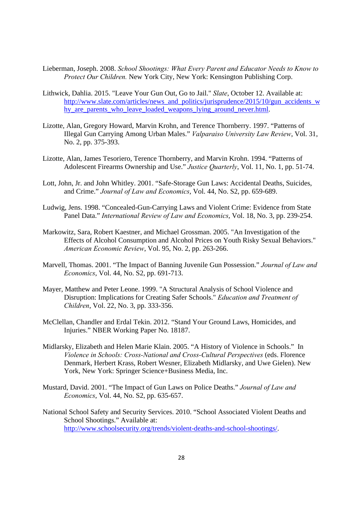- Lieberman, Joseph. 2008. *School Shootings: What Every Parent and Educator Needs to Know to Protect Our Children.* New York City, New York: Kensington Publishing Corp.
- Lithwick, Dahlia. 2015. "Leave Your Gun Out, Go to Jail." *Slate*, October 12. Available at: http://www.slate.com/articles/news\_and\_politics/jurisprudence/2015/10/gun\_accidents\_w hy\_are\_parents\_who\_leave\_loaded\_weapons\_lying\_around\_never.html.
- Lizotte, Alan, Gregory Howard, Marvin Krohn, and Terence Thornberry. 1997. "Patterns of Illegal Gun Carrying Among Urban Males." *Valparaiso University Law Review*, Vol. 31, No. 2, pp. 375-393.
- Lizotte, Alan, James Tesoriero, Terence Thornberry, and Marvin Krohn. 1994. "Patterns of Adolescent Firearms Ownership and Use." *Justice Quarterly*, Vol. 11, No. 1, pp. 51-74.
- Lott, John, Jr. and John Whitley. 2001. "Safe-Storage Gun Laws: Accidental Deaths, Suicides, and Crime." *Journal of Law and Economics*, Vol. 44, No. S2, pp. 659-689.
- Ludwig, Jens. 1998. "Concealed-Gun-Carrying Laws and Violent Crime: Evidence from State Panel Data." *International Review of Law and Economics*, Vol. 18, No. 3, pp. 239-254.
- Markowitz, Sara, Robert Kaestner, and Michael Grossman. 2005. "An Investigation of the Effects of Alcohol Consumption and Alcohol Prices on Youth Risky Sexual Behaviors." *American Economic Review*, Vol. 95, No. 2, pp. 263-266.
- Marvell, Thomas. 2001. "The Impact of Banning Juvenile Gun Possession." *Journal of Law and Economics*, Vol. 44, No. S2, pp. 691-713.
- Mayer, Matthew and Peter Leone. 1999. "A Structural Analysis of School Violence and Disruption: Implications for Creating Safer Schools." *Education and Treatment of Children*, Vol. 22, No. 3, pp. 333-356.
- McClellan, Chandler and Erdal Tekin. 2012. "Stand Your Ground Laws, Homicides, and Injuries." NBER Working Paper No. 18187.
- Midlarsky, Elizabeth and Helen Marie Klain. 2005. "A History of Violence in Schools." In *Violence in Schools: Cross-National and Cross-Cultural Perspectives* (eds. Florence Denmark, Herbert Krass, Robert Wesner, Elizabeth Midlarsky, and Uwe Gielen). New York, New York: Springer Science+Business Media, Inc.
- Mustard, David. 2001. "The Impact of Gun Laws on Police Deaths." *Journal of Law and Economics*, Vol. 44, No. S2, pp. 635-657.
- National School Safety and Security Services. 2010. "School Associated Violent Deaths and School Shootings." Available at: http://www.schoolsecurity.org/trends/violent-deaths-and-school-shootings/.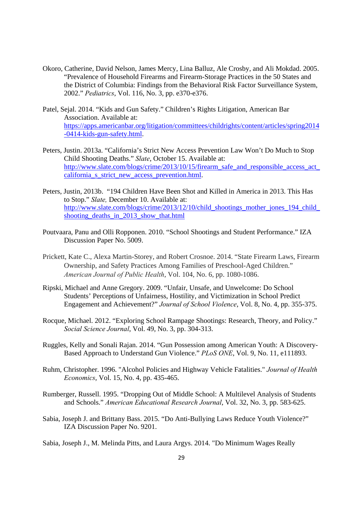- Okoro, Catherine, David Nelson, James Mercy, Lina Balluz, Ale Crosby, and Ali Mokdad. 2005. "Prevalence of Household Firearms and Firearm-Storage Practices in the 50 States and the District of Columbia: Findings from the Behavioral Risk Factor Surveillance System, 2002." *Pediatrics*, Vol. 116, No. 3, pp. e370-e376.
- Patel, Sejal. 2014. "Kids and Gun Safety." Children's Rights Litigation, American Bar Association. Available at: https://apps.americanbar.org/litigation/committees/childrights/content/articles/spring2014 -0414-kids-gun-safety.html.
- Peters, Justin. 2013a. "California's Strict New Access Prevention Law Won't Do Much to Stop Child Shooting Deaths." *Slate*, October 15. Available at: http://www.slate.com/blogs/crime/2013/10/15/firearm\_safe\_and\_responsible\_access\_act\_ california\_s\_strict\_new\_access\_prevention.html.
- Peters, Justin, 2013b. "194 Children Have Been Shot and Killed in America in 2013. This Has to Stop." *Slate,* December 10. Available at: http://www.slate.com/blogs/crime/2013/12/10/child\_shootings\_mother\_jones\_194\_child\_ shooting\_deaths\_in\_2013\_show\_that.html
- Poutvaara, Panu and Olli Ropponen. 2010. "School Shootings and Student Performance." IZA Discussion Paper No. 5009.
- Prickett, Kate C., Alexa Martin-Storey, and Robert Crosnoe. 2014. "State Firearm Laws, Firearm Ownership, and Safety Practices Among Families of Preschool-Aged Children." *American Journal of Public Health*, Vol. 104, No. 6, pp. 1080-1086.
- Ripski, Michael and Anne Gregory. 2009. "Unfair, Unsafe, and Unwelcome: Do School Students' Perceptions of Unfairness, Hostility, and Victimization in School Predict Engagement and Achievement?" *Journal of School Violence*, Vol. 8, No. 4, pp. 355-375.
- Rocque, Michael. 2012. "Exploring School Rampage Shootings: Research, Theory, and Policy." *Social Science Journal*, Vol. 49, No. 3, pp. 304-313.
- Ruggles, Kelly and Sonali Rajan. 2014. "Gun Possession among American Youth: A Discovery-Based Approach to Understand Gun Violence." *PLoS ONE*, Vol. 9, No. 11, e111893.
- Ruhm, Christopher. 1996. "Alcohol Policies and Highway Vehicle Fatalities." *Journal of Health Economics*, Vol. 15, No. 4, pp. 435-465.
- Rumberger, Russell. 1995. "Dropping Out of Middle School: A Multilevel Analysis of Students and Schools." *American Educational Research Journal*, Vol. 32, No. 3, pp. 583-625.
- Sabia, Joseph J. and Brittany Bass. 2015. "Do Anti-Bullying Laws Reduce Youth Violence?" IZA Discussion Paper No. 9201.
- Sabia, Joseph J., M. Melinda Pitts, and Laura Argys. 2014. "Do Minimum Wages Really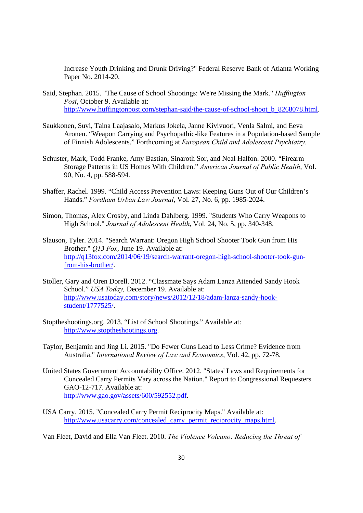Increase Youth Drinking and Drunk Driving?" Federal Reserve Bank of Atlanta Working Paper No. 2014-20.

- Said, Stephan. 2015. "The Cause of School Shootings: We're Missing the Mark." *Huffington Post*, October 9. Available at: http://www.huffingtonpost.com/stephan-said/the-cause-of-school-shoot\_b\_8268078.html.
- Saukkonen, Suvi, Taina Laajasalo, Markus Jokela, Janne Kivivuori, Venla Salmi, and Eeva Aronen. "Weapon Carrying and Psychopathic-like Features in a Population-based Sample of Finnish Adolescents." Forthcoming at *European Child and Adolescent Psychiatry.*
- Schuster, Mark, Todd Franke, Amy Bastian, Sinaroth Sor, and Neal Halfon. 2000. "Firearm Storage Patterns in US Homes With Children." *American Journal of Public Health*, Vol. 90, No. 4, pp. 588-594.
- Shaffer, Rachel. 1999. "Child Access Prevention Laws: Keeping Guns Out of Our Children's Hands." *Fordham Urban Law Journal*, Vol. 27, No. 6, pp. 1985-2024.
- Simon, Thomas, Alex Crosby, and Linda Dahlberg. 1999. "Students Who Carry Weapons to High School." *Journal of Adolescent Health*, Vol. 24, No. 5, pp. 340-348.
- Slauson, Tyler. 2014. "Search Warrant: Oregon High School Shooter Took Gun from His Brother." *Q13 Fox*, June 19. Available at: http://q13fox.com/2014/06/19/search-warrant-oregon-high-school-shooter-took-gun from-his-brother/.
- Stoller, Gary and Oren Dorell. 2012. "Classmate Says Adam Lanza Attended Sandy Hook School." *USA Today,* December 19. Available at: http://www.usatoday.com/story/news/2012/12/18/adam-lanza-sandy-hookstudent/1777525/.
- Stoptheshootings.org. 2013. "List of School Shootings." Available at: http://www.stoptheshootings.org.
- Taylor, Benjamin and Jing Li. 2015. "Do Fewer Guns Lead to Less Crime? Evidence from Australia." *International Review of Law and Economics*, Vol. 42, pp. 72-78.
- United States Government Accountability Office. 2012. "States' Laws and Requirements for Concealed Carry Permits Vary across the Nation." Report to Congressional Requesters GAO-12-717. Available at: http://www.gao.gov/assets/600/592552.pdf.
- USA Carry. 2015. "Concealed Carry Permit Reciprocity Maps." Available at: http://www.usacarry.com/concealed\_carry\_permit\_reciprocity\_maps.html.

Van Fleet, David and Ella Van Fleet. 2010. *The Violence Volcano: Reducing the Threat of*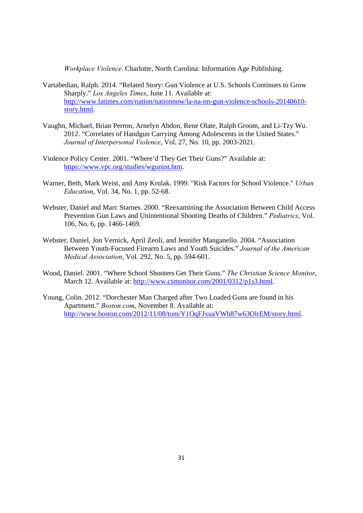*Workplace Violence*. Charlotte, North Carolina: Information Age Publishing.

- Vartabedian, Ralph. 2014. "Related Story: Gun Violence at U.S. Schools Continues to Grow Sharply." *Los Angeles Times*, June 11. Available at: http://www.latimes.com/nation/nationnow/la-na-nn-gun-violence-schools-20140610 story.html.
- Vaughn, Michael, Brian Perron, Arnelyn Abdon, Rene Olate, Ralph Groom, and Li-Tzy Wu. 2012. "Correlates of Handgun Carrying Among Adolescents in the United States." *Journal of Interpersonal Violence*, Vol. 27, No. 10, pp. 2003-2021.
- Violence Policy Center. 2001. "Where'd They Get Their Guns?" Available at: https://www.vpc.org/studies/wgunint.htm.
- Warner, Beth, Mark Weist, and Amy Krulak. 1999. "Risk Factors for School Violence." *Urban Education*, Vol. 34, No. 1, pp. 52-68.
- Webster, Daniel and Marc Starnes. 2000. "Reexamining the Association Between Child Access Prevention Gun Laws and Unintentional Shooting Deaths of Children." *Pediatrics*, Vol. 106, No. 6, pp. 1466-1469.
- Webster, Daniel, Jon Vernick, April Zeoli, and Jennifer Manganello. 2004. "Association Between Youth-Focused Firearm Laws and Youth Suicides." *Journal of the American Medical Association*, Vol. 292, No. 5, pp. 594-601.
- Wood, Daniel. 2001. "Where School Shooters Get Their Guns." *The Christian Science Monitor*, March 12. Available at: http://www.csmonitor.com/2001/0312/p1s3.html.
- Young, Colin. 2012. "Dorchester Man Charged after Two Loaded Guns are found in his Apartment." *Boston.com*, November 8. Available at: http://www.boston.com/2012/11/08/tom/Y1OqFJxuaVWh87w63OlrEM/story.html.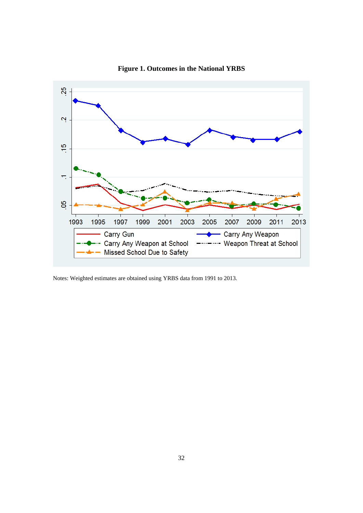

**Figure 1. Outcomes in the National YRBS** 

Notes: Weighted estimates are obtained using YRBS data from 1991 to 2013.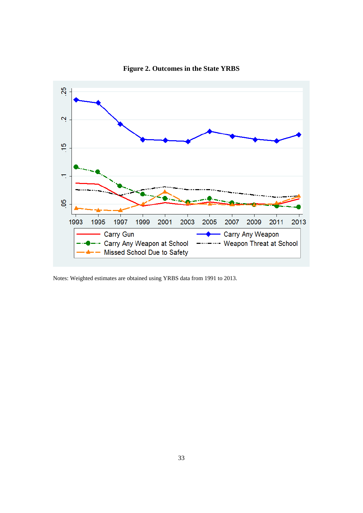

**Figure 2. Outcomes in the State YRBS** 

Notes: Weighted estimates are obtained using YRBS data from 1991 to 2013.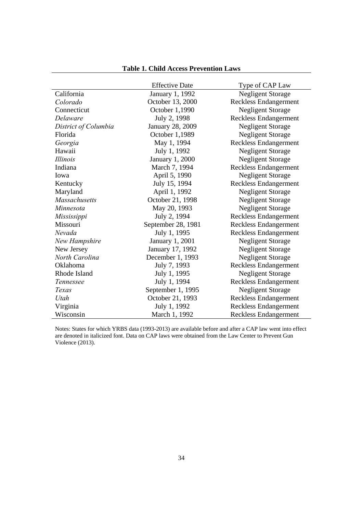|                      | <b>Effective Date</b>   | Type of CAP Law              |
|----------------------|-------------------------|------------------------------|
| California           | January 1, 1992         | <b>Negligent Storage</b>     |
| Colorado             | October 13, 2000        | <b>Reckless Endangerment</b> |
| Connecticut          | October 1,1990          | <b>Negligent Storage</b>     |
| Delaware             | July 2, 1998            | <b>Reckless Endangerment</b> |
| District of Columbia | <b>January 28, 2009</b> | <b>Negligent Storage</b>     |
| Florida              | October 1,1989          | <b>Negligent Storage</b>     |
| Georgia              | May 1, 1994             | <b>Reckless Endangerment</b> |
| Hawaii               | July 1, 1992            | <b>Negligent Storage</b>     |
| <i>Illinois</i>      | January 1, 2000         | <b>Negligent Storage</b>     |
| Indiana              | March 7, 1994           | <b>Reckless Endangerment</b> |
| Iowa                 | April 5, 1990           | <b>Negligent Storage</b>     |
| Kentucky             | July 15, 1994           | <b>Reckless Endangerment</b> |
| Maryland             | April 1, 1992           | <b>Negligent Storage</b>     |
| <b>Massachusetts</b> | October 21, 1998        | <b>Negligent Storage</b>     |
| Minnesota            | May 20, 1993            | <b>Negligent Storage</b>     |
| Mississippi          | July 2, 1994            | <b>Reckless Endangerment</b> |
| Missouri             | September 28, 1981      | <b>Reckless Endangerment</b> |
| Nevada               | July 1, 1995            | <b>Reckless Endangerment</b> |
| New Hampshire        | January 1, 2001         | <b>Negligent Storage</b>     |
| New Jersey           | January 17, 1992        | <b>Negligent Storage</b>     |
| North Carolina       | December 1, 1993        | <b>Negligent Storage</b>     |
| Oklahoma             | July 7, 1993            | <b>Reckless Endangerment</b> |
| Rhode Island         | July 1, 1995            | <b>Negligent Storage</b>     |
| Tennessee            | July 1, 1994            | <b>Reckless Endangerment</b> |
| Texas                | September 1, 1995       | <b>Negligent Storage</b>     |
| Utah                 | October 21, 1993        | <b>Reckless Endangerment</b> |
| Virginia             | July 1, 1992            | <b>Reckless Endangerment</b> |
| Wisconsin            | March 1, 1992           | <b>Reckless Endangerment</b> |

### **Table 1. Child Access Prevention Laws**

Notes: States for which YRBS data (1993-2013) are available before and after a CAP law went into effect are denoted in italicized font. Data on CAP laws were obtained from the Law Center to Prevent Gun Violence (2013).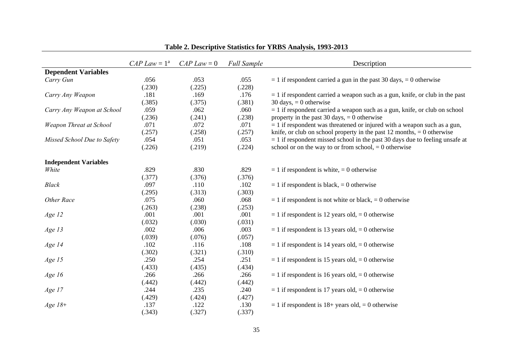|                              | $CAP Law = 1a$ | $CAP Law = 0$ | <b>Full Sample</b> | Description                                                                    |
|------------------------------|----------------|---------------|--------------------|--------------------------------------------------------------------------------|
| <b>Dependent Variables</b>   |                |               |                    |                                                                                |
| Carry Gun                    | .056           | .053          | .055               | $= 1$ if respondent carried a gun in the past 30 days, $= 0$ otherwise         |
|                              | (.230)         | (.225)        | (.228)             |                                                                                |
| Carry Any Weapon             | .181           | .169          | .176               | $= 1$ if respondent carried a weapon such as a gun, knife, or club in the past |
|                              | (.385)         | (.375)        | (.381)             | 30 days, $= 0$ otherwise                                                       |
| Carry Any Weapon at School   | .059           | .062          | .060               | $= 1$ if respondent carried a weapon such as a gun, knife, or club on school   |
|                              | (.236)         | (.241)        | (.238)             | property in the past 30 days, $= 0$ otherwise                                  |
| Weapon Threat at School      | .071           | .072          | .071               | $= 1$ if respondent was threatened or injured with a weapon such as a gun,     |
|                              | (.257)         | (.258)        | (.257)             | knife, or club on school property in the past 12 months, $= 0$ otherwise       |
| Missed School Due to Safety  | .054           | .051          | .053               | $= 1$ if respondent missed school in the past 30 days due to feeling unsafe at |
|                              | (.226)         | (.219)        | (.224)             | school or on the way to or from school, $= 0$ otherwise                        |
|                              |                |               |                    |                                                                                |
| <b>Independent Variables</b> |                |               |                    |                                                                                |
| White                        | .829           | .830          | .829               | $= 1$ if respondent is white, $= 0$ otherwise                                  |
|                              | (.377)         | (.376)        | (.376)             |                                                                                |
| <b>Black</b>                 | .097           | .110          | .102               | $= 1$ if respondent is black, $= 0$ otherwise                                  |
|                              | (.295)         | (.313)        | (.303)             |                                                                                |
| Other Race                   | .075           | .060          | .068               | $= 1$ if respondent is not white or black, $= 0$ otherwise                     |
|                              | (.263)         | (.238)        | (.253)             |                                                                                |
| Age 12                       | .001           | .001          | .001               | $= 1$ if respondent is 12 years old, $= 0$ otherwise                           |
|                              | (.032)         | (.030)        | (.031)             |                                                                                |
| Age 13                       | .002           | .006          | .003               | $= 1$ if respondent is 13 years old, $= 0$ otherwise                           |
|                              | (.039)         | (.076)        | (.057)             |                                                                                |
| Age 14                       | .102           | .116          | .108               | $= 1$ if respondent is 14 years old, $= 0$ otherwise                           |
|                              | (.302)         | (.321)        | (.310)             |                                                                                |
| Age 15                       | .250           | .254          | .251               | $= 1$ if respondent is 15 years old, $= 0$ otherwise                           |
|                              | (.433)         | (.435)        | (.434)             |                                                                                |
| Age 16                       | .266           | .266          | .266               | $= 1$ if respondent is 16 years old, $= 0$ otherwise                           |
|                              | (.442)         | (.442)        | (.442)             |                                                                                |
| Age 17                       | .244           | .235          | .240               | $= 1$ if respondent is 17 years old, $= 0$ otherwise                           |
|                              | (.429)         | (.424)        | (.427)             |                                                                                |
| $Age 18+$                    | .137           | .122          | .130               | $= 1$ if respondent is 18+ years old, $= 0$ otherwise                          |
|                              | (.343)         | (.327)        | (.337)             |                                                                                |

### **Table 2. Descriptive Statistics for YRBS Analysis, 1993-2013**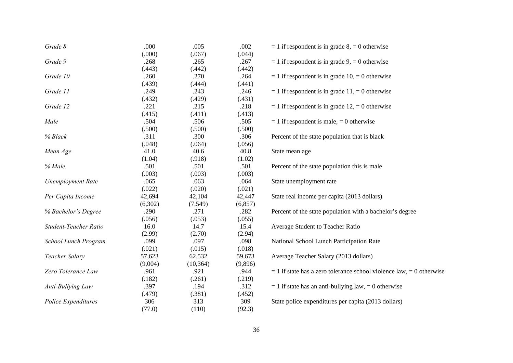| Grade 8                  | .000    | .005      | .002     | $= 1$ if respondent is in grade 8, $= 0$ otherwise                       |
|--------------------------|---------|-----------|----------|--------------------------------------------------------------------------|
|                          | (.000)  | (.067)    | (.044)   |                                                                          |
| Grade 9                  | .268    | .265      | .267     | $= 1$ if respondent is in grade 9, $= 0$ otherwise                       |
|                          | (.443)  | (.442)    | (.442)   |                                                                          |
| Grade 10                 | .260    | .270      | .264     | $= 1$ if respondent is in grade 10, $= 0$ otherwise                      |
|                          | (.439)  | (.444)    | (.441)   |                                                                          |
| Grade 11                 | .249    | .243      | .246     | $= 1$ if respondent is in grade 11, $= 0$ otherwise                      |
|                          | (.432)  | (.429)    | (.431)   |                                                                          |
| Grade 12                 | .221    | .215      | .218     | $= 1$ if respondent is in grade 12, $= 0$ otherwise                      |
|                          | (.415)  | (.411)    | (.413)   |                                                                          |
| Male                     | .504    | .506      | .505     | $= 1$ if respondent is male, $= 0$ otherwise                             |
|                          | (.500)  | (.500)    | (.500)   |                                                                          |
| % Black                  | .311    | .300      | .306     | Percent of the state population that is black                            |
|                          | (.048)  | (.064)    | (.056)   |                                                                          |
| Mean Age                 | 41.0    | 40.6      | 40.8     | State mean age                                                           |
|                          | (1.04)  | (.918)    | (1.02)   |                                                                          |
| % Male                   | .501    | .501      | .501     | Percent of the state population this is male                             |
|                          | (.003)  | (.003)    | (.003)   |                                                                          |
| <b>Unemployment Rate</b> | .065    | .063      | .064     | State unemployment rate                                                  |
|                          | (.022)  | (.020)    | (.021)   |                                                                          |
| Per Capita Income        | 42,694  | 42,104    | 42,447   | State real income per capita (2013 dollars)                              |
|                          | (6,302) | (7, 549)  | (6, 857) |                                                                          |
| % Bachelor's Degree      | .290    | .271      | .282     | Percent of the state population with a bachelor's degree                 |
|                          | (.056)  | (.053)    | (.055)   |                                                                          |
| Student-Teacher Ratio    | 16.0    | 14.7      | 15.4     | Average Student to Teacher Ratio                                         |
|                          | (2.99)  | (2.70)    | (2.94)   |                                                                          |
| School Lunch Program     | .099    | .097      | .098     | National School Lunch Participation Rate                                 |
|                          | (.021)  | (.015)    | (.018)   |                                                                          |
| Teacher Salary           | 57,623  | 62,532    | 59,673   | Average Teacher Salary (2013 dollars)                                    |
|                          | (9,004) | (10, 364) | (9,896)  |                                                                          |
| Zero Tolerance Law       | .961    | .921      | .944     | $= 1$ if state has a zero tolerance school violence law, $= 0$ otherwise |
|                          | (.182)  | (.261)    | (.219)   |                                                                          |
| Anti-Bullying Law        | .397    | .194      | .312     | $= 1$ if state has an anti-bullying law, $= 0$ otherwise                 |
|                          | (.479)  | (.381)    | (.452)   |                                                                          |
| Police Expenditures      | 306     | 313       | 309      | State police expenditures per capita (2013 dollars)                      |
|                          |         |           |          |                                                                          |
|                          | (77.0)  | (110)     | (92.3)   |                                                                          |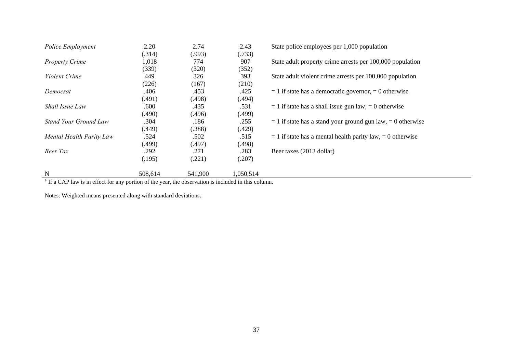| Police Employment        | 2.20    | 2.74    | 2.43      | State police employees per 1,000 population                     |
|--------------------------|---------|---------|-----------|-----------------------------------------------------------------|
|                          | (.314)  | (.993)  | (.733)    |                                                                 |
| <b>Property Crime</b>    | 1,018   | 774     | 907       | State adult property crime arrests per 100,000 population       |
|                          | (339)   | (320)   | (352)     |                                                                 |
| Violent Crime            | 449     | 326     | 393       | State adult violent crime arrests per 100,000 population        |
|                          | (226)   | (167)   | (210)     |                                                                 |
| Democrat                 | .406    | .453    | .425      | $= 1$ if state has a democratic governor, $= 0$ otherwise       |
|                          | (.491)  | (.498)  | (.494)    |                                                                 |
| Shall Issue Law          | .600    | .435    | .531      | $= 1$ if state has a shall issue gun law, $= 0$ otherwise       |
|                          | (.490)  | (.496)  | (.499)    |                                                                 |
| Stand Your Ground Law    | .304    | .186    | .255      | $= 1$ if state has a stand your ground gun law, $= 0$ otherwise |
|                          | (.449)  | (.388)  | (.429)    |                                                                 |
| Mental Health Parity Law | .524    | .502    | .515      | $= 1$ if state has a mental health parity law, $= 0$ otherwise  |
|                          | (.499)  | (.497)  | (.498)    |                                                                 |
| Beer Tax                 | .292    | .271    | .283      | Beer taxes (2013 dollar)                                        |
|                          | (.195)  | (.221)  | (.207)    |                                                                 |
| N                        | 508,614 | 541,900 | 1,050,514 |                                                                 |

<sup>a</sup> If a CAP law is in effect for any portion of the year, the observation is included in this column.

Notes: Weighted means presented along with standard deviations.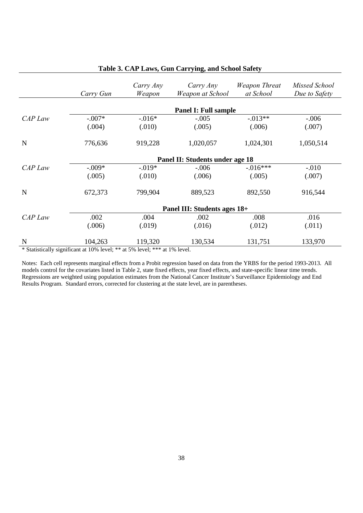|         | Carry Gun                                                                  | Carry Any<br>Weapon | Carry Any<br>Weapon at School | Weapon Threat<br>at School | Missed School<br>Due to Safety |  |  |  |  |
|---------|----------------------------------------------------------------------------|---------------------|-------------------------------|----------------------------|--------------------------------|--|--|--|--|
|         |                                                                            |                     | <b>Panel I: Full sample</b>   |                            |                                |  |  |  |  |
| CAP Law | $-.007*$                                                                   | $-0.016*$           | $-.005$                       | $-0.013**$                 | $-.006$                        |  |  |  |  |
|         | (.004)                                                                     | (.010)              | (.005)                        | (.006)                     | (.007)                         |  |  |  |  |
| N       | 776,636                                                                    | 919,228             | 1,020,057                     | 1,024,301                  | 1,050,514                      |  |  |  |  |
|         | Panel II: Students under age 18                                            |                     |                               |                            |                                |  |  |  |  |
| CAP Law | $-.009*$                                                                   | $-019*$             | $-.006$                       | $-.016***$                 | $-.010$                        |  |  |  |  |
|         | (.005)                                                                     | (.010)              | (.006)                        | (.005)                     | (.007)                         |  |  |  |  |
| N       | 672,373                                                                    | 799,904             | 889,523                       | 892,550                    | 916,544                        |  |  |  |  |
|         | Panel III: Students ages 18+                                               |                     |                               |                            |                                |  |  |  |  |
| CAP Law | .002                                                                       | .004                | .002                          | .008                       | .016                           |  |  |  |  |
|         | (.006)                                                                     | (.019)              | (.016)                        | (.012)                     | (.011)                         |  |  |  |  |
| N       | 104,263                                                                    | 119,320             | 130,534                       | 131,751                    | 133,970                        |  |  |  |  |
|         | * Statistically significant at 10% level; ** at 5% level; *** at 1% level. |                     |                               |                            |                                |  |  |  |  |

#### **Table 3. CAP Laws, Gun Carrying, and School Safety**

Notes: Each cell represents marginal effects from a Probit regression based on data from the YRBS for the period 1993-2013. All models control for the covariates listed in Table 2, state fixed effects, year fixed effects, and state-specific linear time trends. Regressions are weighted using population estimates from the National Cancer Institute's Surveillance Epidemiology and End Results Program. Standard errors, corrected for clustering at the state level, are in parentheses.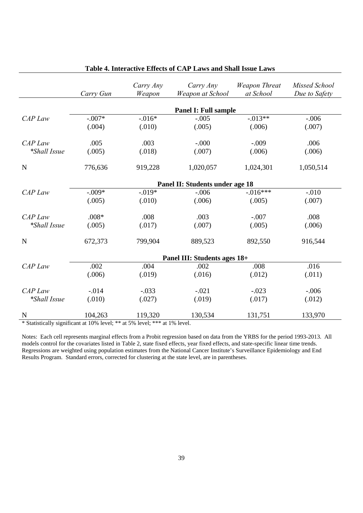|                     | Carry Gun | Carry Any<br>Weapon | Carry Any<br>Weapon at School          | <b>Weapon Threat</b><br>at School | Missed School<br>Due to Safety |
|---------------------|-----------|---------------------|----------------------------------------|-----------------------------------|--------------------------------|
|                     |           |                     |                                        |                                   |                                |
| $CAP$ Law           | $-.007*$  | $-0.016*$           | <b>Panel I: Full sample</b><br>$-.005$ | $-.013**$                         | $-.006$                        |
|                     | (.004)    | (.010)              | (.005)                                 | (.006)                            | (.007)                         |
|                     |           |                     |                                        |                                   |                                |
| $CAP$ Law           | .005      | .003                | $-.000$                                | $-.009$                           | .006                           |
| <i>*Shall Issue</i> | (.005)    | (.018)              | (.007)                                 | (.006)                            | (.006)                         |
| $\mathbf N$         | 776,636   | 919,228             | 1,020,057                              | 1,024,301                         | 1,050,514                      |
|                     |           |                     | Panel II: Students under age 18        |                                   |                                |
| CAP Law             | $-.009*$  | $-.019*$            | $-.006$                                | $-0.016***$                       | $-.010$                        |
|                     | (.005)    | (.010)              | (.006)                                 | (.005)                            | (.007)                         |
| $CAP$ Law           | $.008*$   | .008                | .003                                   | $-.007$                           | .008                           |
| <i>*Shall Issue</i> | (.005)    | (.017)              | (.007)                                 | (.005)                            | (.006)                         |
| $\mathbf N$         | 672,373   | 799,904             | 889,523                                | 892,550                           | 916,544                        |
|                     |           |                     | Panel III: Students ages 18+           |                                   |                                |
| CAP Law             | .002      | .004                | .002                                   | .008                              | .016                           |
|                     | (.006)    | (.019)              | (.016)                                 | (.012)                            | (.011)                         |
| CAP Law             | $-0.014$  | $-.033$             | $-.021$                                | $-.023$                           | $-.006$                        |
| <i>*Shall Issue</i> | (.010)    | (.027)              | (.019)                                 | (.017)                            | (.012)                         |
| N                   | 104,263   | 119,320             | 130,534                                | 131,751                           | 133,970                        |

#### **Table 4. Interactive Effects of CAP Laws and Shall Issue Laws**

\* Statistically significant at 10% level; \*\* at 5% level; \*\*\* at 1% level.

Notes: Each cell represents marginal effects from a Probit regression based on data from the YRBS for the period 1993-2013. All models control for the covariates listed in Table 2, state fixed effects, year fixed effects, and state-specific linear time trends. Regressions are weighted using population estimates from the National Cancer Institute's Surveillance Epidemiology and End Results Program. Standard errors, corrected for clustering at the state level, are in parentheses.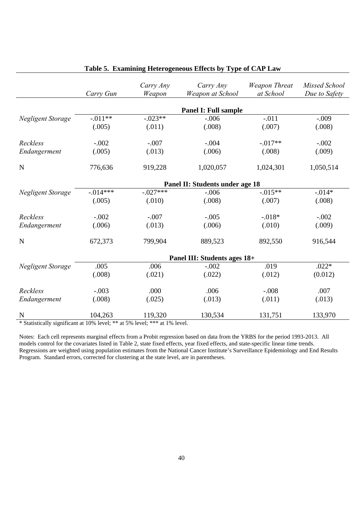|                   | Carry Gun   | Carry Any<br>Weapon | Carry Any<br>Weapon at School   | <b>Weapon Threat</b><br>at School | Missed School<br>Due to Safety |
|-------------------|-------------|---------------------|---------------------------------|-----------------------------------|--------------------------------|
|                   |             |                     | <b>Panel I: Full sample</b>     |                                   |                                |
| Negligent Storage | $-.011**$   | $-.023**$           | $-.006$                         | $-.011$                           | $-.009$                        |
|                   | (.005)      | (.011)              | (.008)                          | (.007)                            | (.008)                         |
| Reckless          | $-.002$     | $-.007$             | $-.004$                         | $-017**$                          | $-.002$                        |
| Endangerment      | (.005)      | (.013)              | (.006)                          | (.008)                            | (.009)                         |
| N                 | 776,636     | 919,228             | 1,020,057                       | 1,024,301                         | 1,050,514                      |
|                   |             |                     | Panel II: Students under age 18 |                                   |                                |
| Negligent Storage | $-0.014***$ | $-.027***$          | $-.006$                         | $-0.015**$                        | $-0.014*$                      |
|                   | (.005)      | (.010)              | (.008)                          | (.007)                            | (.008)                         |
| Reckless          | $-.002$     | $-.007$             | $-.005$                         | $-0.018*$                         | $-.002$                        |
| Endangerment      | (.006)      | (.013)              | (.006)                          | (.010)                            | (.009)                         |
| N                 | 672,373     | 799,904             | 889,523                         | 892,550                           | 916,544                        |
|                   |             |                     | Panel III: Students ages 18+    |                                   |                                |
| Negligent Storage | .005        | .006                | $-.002$                         | .019                              | $.022*$                        |
|                   | (.008)      | (.021)              | (.022)                          | (.012)                            | (0.012)                        |
| Reckless          | $-.003$     | .000                | .006                            | $-.008$                           | .007                           |
| Endangerment      | (.008)      | (.025)              | (.013)                          | (.011)                            | (.013)                         |
| N                 | 104,263     | 119,320             | 130,534                         | 131,751                           | 133,970                        |

#### **Table 5. Examining Heterogeneous Effects by Type of CAP Law**

\* Statistically significant at 10% level; \*\* at 5% level; \*\*\* at 1% level.

Notes: Each cell represents marginal effects from a Probit regression based on data from the YRBS for the period 1993-2013. All models control for the covariates listed in Table 2, state fixed effects, year fixed effects, and state-specific linear time trends. Regressions are weighted using population estimates from the National Cancer Institute's Surveillance Epidemiology and End Results Program. Standard errors, corrected for clustering at the state level, are in parentheses.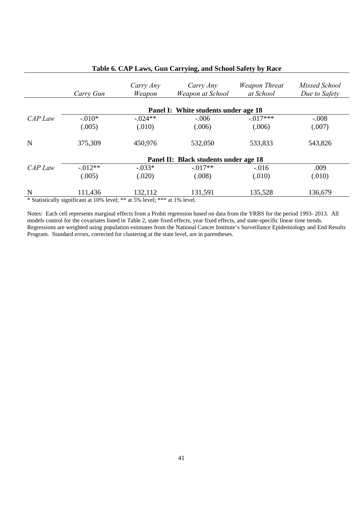|           | Carry Gun                                                                     | Carry Any<br>Weapon                                                                                     | Carry Any<br>Weapon at School        | Weapon Threat<br>at School | Missed School<br>Due to Safety |  |  |  |
|-----------|-------------------------------------------------------------------------------|---------------------------------------------------------------------------------------------------------|--------------------------------------|----------------------------|--------------------------------|--|--|--|
|           |                                                                               |                                                                                                         | Panel I: White students under age 18 |                            |                                |  |  |  |
| $CAP$ Law | $-.010*$                                                                      | $-.024**$                                                                                               | $-.006$                              | $-0.017***$                | $-.008$                        |  |  |  |
|           | (.005)                                                                        | (.010)                                                                                                  | (.006)                               | (.006)                     | (.007)                         |  |  |  |
| N         | 375,309                                                                       | 450,976                                                                                                 | 532,050                              | 533,833                    | 543,826                        |  |  |  |
|           | Panel II: Black students under age 18                                         |                                                                                                         |                                      |                            |                                |  |  |  |
| CAP Law   | $-0.012**$                                                                    | $-.033*$                                                                                                | $-.017**$                            | $-.016$                    | .009                           |  |  |  |
|           | (.005)                                                                        | (.020)                                                                                                  | (.008)                               | (.010)                     | (.010)                         |  |  |  |
| N         | 111,436<br>$\cdot$ $\sim$<br>$\sim$ $\sim$ $\sim$ $\sim$ $\sim$ $\sim$ $\sim$ | 132,112<br>1.1.1.1.<br>$\mathbf{1}$ and $\mathbf{1}$ and $\mathbf{1}$ and $\mathbf{1}$ and $\mathbf{1}$ | 131,591                              | 135,528                    | 136,679                        |  |  |  |

#### **Table 6. CAP Laws, Gun Carrying, and School Safety by Race**

\* Statistically significant at 10% level; \*\* at 5% level; \*\*\* at 1% level.

Notes: Each cell represents marginal effects from a Probit regression based on data from the YRBS for the period 1993- 2013. All models control for the covariates listed in Table 2, state fixed effects, year fixed effects, and state-specific linear time trends. Regressions are weighted using population estimates from the National Cancer Institute's Surveillance Epidemiology and End Results Program. Standard errors, corrected for clustering at the state level, are in parentheses.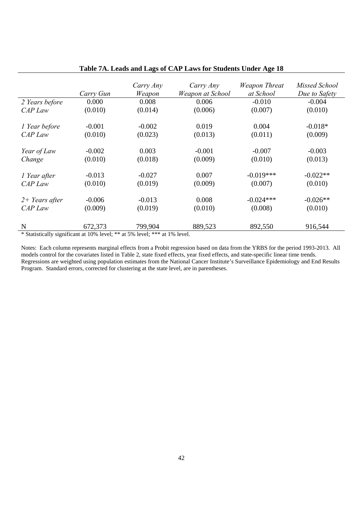|                                                              | Carry Gun | Carry Any<br>Weapon | Carry Any<br>Weapon at School          | <b>Weapon Threat</b><br>at School | Missed School<br>Due to Safety |
|--------------------------------------------------------------|-----------|---------------------|----------------------------------------|-----------------------------------|--------------------------------|
| 2 Years before                                               | 0.000     | 0.008               | 0.006                                  | $-0.010$                          | $-0.004$                       |
| CAP Law                                                      | (0.010)   | (0.014)             | (0.006)                                | (0.007)                           | (0.010)                        |
| 1 Year before                                                | $-0.001$  | $-0.002$            | 0.019                                  | 0.004                             | $-0.018*$                      |
| CAP Law                                                      | (0.010)   | (0.023)             | (0.013)                                | (0.011)                           | (0.009)                        |
| Year of Law                                                  | $-0.002$  | 0.003               | $-0.001$                               | $-0.007$                          | $-0.003$                       |
| Change                                                       | (0.010)   | (0.018)             | (0.009)                                | (0.010)                           | (0.013)                        |
| 1 Year after                                                 | $-0.013$  | $-0.027$            | 0.007                                  | $-0.019***$                       | $-0.022**$                     |
| CAP Law                                                      | (0.010)   | (0.019)             | (0.009)                                | (0.007)                           | (0.010)                        |
| $2+$ Years after                                             | $-0.006$  | $-0.013$            | 0.008                                  | $-0.024***$                       | $-0.026**$                     |
| CAP Law                                                      | (0.009)   | (0.019)             | (0.010)                                | (0.008)                           | (0.010)                        |
| N<br>$\sim$ $\sim$ $\sim$ $\sim$ $\sim$ $\sim$ $\sim$ $\sim$ | 672,373   | 799,904             | 889,523<br>$\sim$ $\sim$ $\sim$ $\sim$ | 892,550                           | 916,544                        |

#### **Table 7A. Leads and Lags of CAP Laws for Students Under Age 18**

\* Statistically significant at 10% level; \*\* at 5% level; \*\*\* at 1% level.

Notes: Each column represents marginal effects from a Probit regression based on data from the YRBS for the period 1993-2013. All models control for the covariates listed in Table 2, state fixed effects, year fixed effects, and state-specific linear time trends. Regressions are weighted using population estimates from the National Cancer Institute's Surveillance Epidemiology and End Results Program. Standard errors, corrected for clustering at the state level, are in parentheses.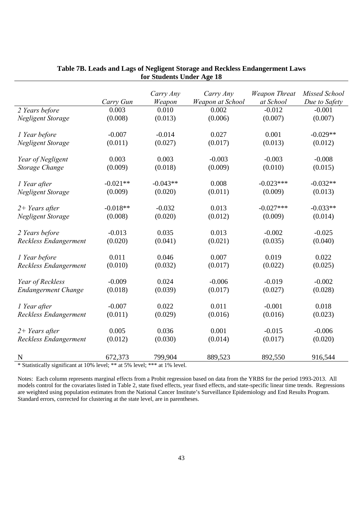|                              | Carry Gun  | Carry Any<br>Weapon | Carry Any<br>Weapon at School | <b>Weapon Threat</b><br>at School | Missed School<br>Due to Safety |
|------------------------------|------------|---------------------|-------------------------------|-----------------------------------|--------------------------------|
| 2 Years before               | 0.003      | 0.010               | 0.002                         | $-0.012$                          | $-0.001$                       |
| Negligent Storage            | (0.008)    | (0.013)             | (0.006)                       | (0.007)                           | (0.007)                        |
|                              |            |                     |                               |                                   |                                |
| 1 Year before                | $-0.007$   | $-0.014$            | 0.027                         | 0.001                             | $-0.029**$                     |
| Negligent Storage            | (0.011)    | (0.027)             | (0.017)                       | (0.013)                           | (0.012)                        |
|                              |            |                     |                               |                                   |                                |
| Year of Negligent            | 0.003      | 0.003               | $-0.003$                      | $-0.003$                          | $-0.008$                       |
| Storage Change               | (0.009)    | (0.018)             | (0.009)                       | (0.010)                           | (0.015)                        |
|                              |            |                     |                               |                                   |                                |
| 1 Year after                 | $-0.021**$ | $-0.043**$          | 0.008                         | $-0.023***$                       | $-0.032**$                     |
| Negligent Storage            | (0.009)    | (0.020)             | (0.011)                       | (0.009)                           | (0.013)                        |
|                              |            |                     |                               |                                   |                                |
| $2+$ Years after             | $-0.018**$ | $-0.032$            | 0.013                         | $-0.027***$                       | $-0.033**$                     |
| Negligent Storage            | (0.008)    | (0.020)             | (0.012)                       | (0.009)                           | (0.014)                        |
|                              |            |                     |                               |                                   |                                |
| 2 Years before               | $-0.013$   | 0.035               | 0.013                         | $-0.002$                          | $-0.025$                       |
| Reckless Endangerment        | (0.020)    | (0.041)             | (0.021)                       | (0.035)                           | (0.040)                        |
|                              |            |                     |                               |                                   |                                |
| 1 Year before                | 0.011      | 0.046               | 0.007                         | 0.019                             | 0.022                          |
| Reckless Endangerment        | (0.010)    | (0.032)             | (0.017)                       | (0.022)                           | (0.025)                        |
|                              |            |                     |                               |                                   |                                |
| Year of Reckless             | $-0.009$   | 0.024               | $-0.006$                      | $-0.019$                          | $-0.002$                       |
| <b>Endangerment Change</b>   | (0.018)    | (0.039)             | (0.017)                       | (0.027)                           | (0.028)                        |
|                              |            |                     |                               |                                   |                                |
| 1 Year after                 | $-0.007$   | 0.022               | 0.011                         | $-0.001$                          | 0.018                          |
| <b>Reckless Endangerment</b> | (0.011)    | (0.029)             | (0.016)                       | (0.016)                           | (0.023)                        |
|                              |            |                     |                               |                                   |                                |
| $2+ Years$ after             | 0.005      | 0.036               | 0.001                         | $-0.015$                          | $-0.006$                       |
| Reckless Endangerment        | (0.012)    | (0.030)             | (0.014)                       | (0.017)                           | (0.020)                        |
|                              |            |                     |                               |                                   |                                |
| N                            | 672,373    | 799,904             | 889,523                       | 892,550                           | 916,544                        |

#### **Table 7B. Leads and Lags of Negligent Storage and Reckless Endangerment Laws for Students Under Age 18**

\* Statistically significant at 10% level; \*\* at 5% level; \*\*\* at 1% level.

Notes: Each column represents marginal effects from a Probit regression based on data from the YRBS for the period 1993-2013. All models control for the covariates listed in Table 2, state fixed effects, year fixed effects, and state-specific linear time trends. Regressions are weighted using population estimates from the National Cancer Institute's Surveillance Epidemiology and End Results Program. Standard errors, corrected for clustering at the state level, are in parentheses.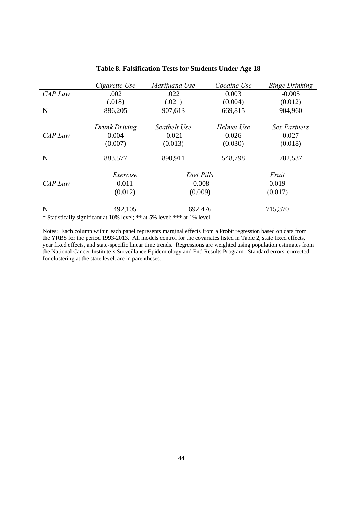|           | Cigarette Use | Marijuana Use | Cocaine Use | <b>Binge Drinking</b> |
|-----------|---------------|---------------|-------------|-----------------------|
| CAP Law   | .002          | .022          | 0.003       | $-0.005$              |
|           | (.018)        | (.021)        | (0.004)     | (0.012)               |
| N         | 886,205       | 907,613       | 669,815     | 904,960               |
|           | Drunk Driving | Seatbelt Use  | Helmet Use  | Sex Partners          |
| $CAP$ Law | 0.004         | $-0.021$      | 0.026       | 0.027                 |
|           | (0.007)       | (0.013)       | (0.030)     | (0.018)               |
| N         | 883,577       | 890,911       | 548,798     | 782,537               |
|           | Exercise      | Diet Pills    |             | Fruit                 |
| CAP Law   | 0.011         | $-0.008$      |             | 0.019                 |
|           | (0.012)       | (0.009)       |             | (0.017)               |
| N         | 492,105       | 692,476       |             | 715,370               |

#### **Table 8. Falsification Tests for Students Under Age 18**

\* Statistically significant at 10% level; \*\* at 5% level; \*\*\* at 1% level.

Notes: Each column within each panel represents marginal effects from a Probit regression based on data from the YRBS for the period 1993-2013. All models control for the covariates listed in Table 2, state fixed effects, year fixed effects, and state-specific linear time trends. Regressions are weighted using population estimates from the National Cancer Institute's Surveillance Epidemiology and End Results Program. Standard errors, corrected for clustering at the state level, are in parentheses.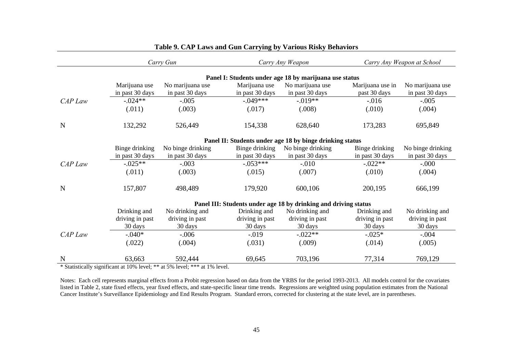|         | Carry Gun                                                |                                     |                                  | Carry Any Weapon                                                |                                  | Carry Any Weapon at School          |  |  |
|---------|----------------------------------------------------------|-------------------------------------|----------------------------------|-----------------------------------------------------------------|----------------------------------|-------------------------------------|--|--|
|         | Panel I: Students under age 18 by marijuana use status   |                                     |                                  |                                                                 |                                  |                                     |  |  |
|         | Marijuana use<br>in past 30 days                         | No marijuana use<br>in past 30 days | Marijuana use<br>in past 30 days | No marijuana use<br>in past 30 days                             | Marijuana use in<br>past 30 days | No marijuana use<br>in past 30 days |  |  |
| CAP Law | $-.024**$                                                | $-.005$                             | $-.049***$                       | $-0.019**$                                                      | $-0.016$                         | $-.005$                             |  |  |
|         | (.011)                                                   | (.003)                              | (.017)                           | (.008)                                                          | (.010)                           | (.004)                              |  |  |
| N       | 132,292                                                  | 526,449                             | 154,338                          | 628,640                                                         | 173,283                          | 695,849                             |  |  |
|         | Panel II: Students under age 18 by binge drinking status |                                     |                                  |                                                                 |                                  |                                     |  |  |
|         | Binge drinking                                           | No binge drinking                   | Binge drinking                   | No binge drinking                                               | Binge drinking                   | No binge drinking                   |  |  |
|         | in past 30 days                                          | in past 30 days                     | in past 30 days                  | in past 30 days                                                 | in past 30 days                  | in past 30 days                     |  |  |
| CAP Law | $-0.025**$                                               | $-.003$                             | $-.053***$                       | $-.010$                                                         | $-0.022**$                       | $-0.000$                            |  |  |
|         | (.011)                                                   | (.003)                              | (.015)                           | (.007)                                                          | (.010)                           | (.004)                              |  |  |
| N       | 157,807                                                  | 498,489                             | 179,920                          | 600,106                                                         | 200,195                          | 666,199                             |  |  |
|         |                                                          |                                     |                                  | Panel III: Students under age 18 by drinking and driving status |                                  |                                     |  |  |
|         | Drinking and                                             | No drinking and                     | Drinking and                     | No drinking and                                                 | Drinking and                     | No drinking and                     |  |  |
|         | driving in past                                          | driving in past                     | driving in past                  | driving in past                                                 | driving in past                  | driving in past                     |  |  |
|         | 30 days                                                  | 30 days                             | 30 days                          | 30 days                                                         | 30 days                          | 30 days                             |  |  |
| CAP Law | $-.040*$                                                 | $-.006$                             | $-0.019$                         | $-0.022**$                                                      | $-0.025*$                        | $-.004$                             |  |  |
|         | (.022)                                                   | (.004)                              | (.031)                           | (.009)                                                          | (.014)                           | (.005)                              |  |  |
| N       | 63,663                                                   | 592,444                             | 69,645                           | 703,196                                                         | 77,314                           | 769,129                             |  |  |

#### **Table 9. CAP Laws and Gun Carrying by Various Risky Behaviors**

\* Statistically significant at 10% level; \*\* at 5% level; \*\*\* at 1% level.

Notes: Each cell represents marginal effects from a Probit regression based on data from the YRBS for the period 1993-2013. All models control for the covariates listed in Table 2, state fixed effects, year fixed effects, and state-specific linear time trends. Regressions are weighted using population estimates from the National Cancer Institute's Surveillance Epidemiology and End Results Program. Standard errors, corrected for clustering at the state level, are in parentheses.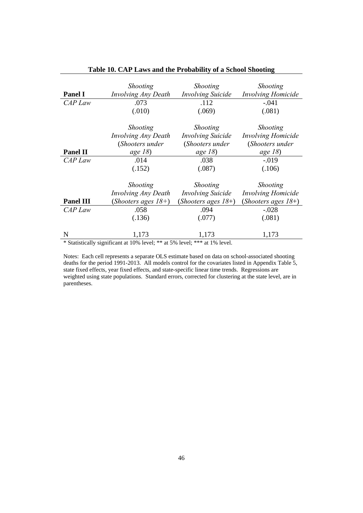|                  | <b>Shooting</b>                                                            | <b>Shooting</b>          | Shooting                  |
|------------------|----------------------------------------------------------------------------|--------------------------|---------------------------|
| <b>Panel I</b>   | Involving Any Death                                                        | <b>Involving Suicide</b> | <b>Involving Homicide</b> |
| CAP Law          | .073                                                                       | .112                     | $-.041$                   |
|                  | (.010)                                                                     | (.069)                   | (.081)                    |
|                  | <b>Shooting</b>                                                            | <b>Shooting</b>          | Shooting                  |
|                  | Involving Any Death                                                        | <i>Involving Suicide</i> | <b>Involving Homicide</b> |
|                  | (Shooters under                                                            | (Shooters under          | (Shooters under           |
| <b>Panel II</b>  | age $18$ )                                                                 | age $18$ )               | age $18$ )                |
| CAP Law          | .014                                                                       | .038                     | $-.019$                   |
|                  | (.152)                                                                     | (.087)                   | (.106)                    |
|                  | <b>Shooting</b>                                                            | <b>Shooting</b>          | Shooting                  |
|                  | Involving Any Death                                                        | <b>Involving Suicide</b> | <b>Involving Homicide</b> |
| <b>Panel III</b> | (Shooters ages $18+$ )                                                     | (Shooters ages $18+$ )   | (Shooters ages $18+$ )    |
| CAP Law          | .058                                                                       | .094                     | $-.028$                   |
|                  | (.136)                                                                     | (.077)                   | (.081)                    |
|                  |                                                                            |                          |                           |
| N                | 1,173                                                                      | 1,173                    | 1,173                     |
|                  | * Statistically significant at 10% level; ** at 5% level; *** at 1% level. |                          |                           |

### **Table 10. CAP Laws and the Probability of a School Shooting**

Notes: Each cell represents a separate OLS estimate based on data on school-associated shooting deaths for the period 1991-2013. All models control for the covariates listed in Appendix Table 5, state fixed effects, year fixed effects, and state-specific linear time trends. Regressions are

weighted using state populations. Standard errors, corrected for clustering at the state level, are in parentheses.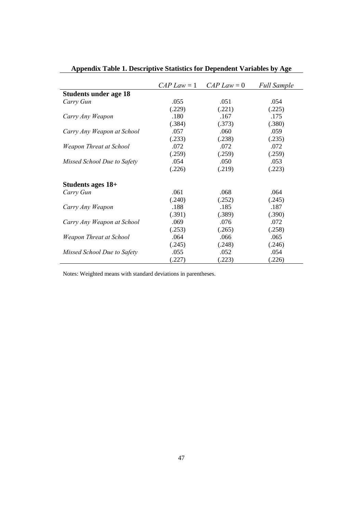|                              |        | $CAP Law = 1$ $CAP Law = 0$ | <b>Full Sample</b> |
|------------------------------|--------|-----------------------------|--------------------|
| <b>Students under age 18</b> |        |                             |                    |
| Carry Gun                    | .055   | .051                        | .054               |
|                              | (.229) | (.221)                      | (.225)             |
| Carry Any Weapon             | .180   | .167                        | .175               |
|                              | (.384) | (.373)                      | (.380)             |
| Carry Any Weapon at School   | .057   | .060                        | .059               |
|                              | (.233) | (.238)                      | (.235)             |
| Weapon Threat at School      | .072   | .072                        | .072               |
|                              | (.259) | (.259)                      | (.259)             |
| Missed School Due to Safety  | .054   | .050                        | .053               |
|                              | (.226) | (.219)                      | (.223)             |
| Students ages 18+            |        |                             |                    |
| Carry Gun                    | .061   | .068                        | .064               |
|                              | (.240) | (.252)                      | (.245)             |
| Carry Any Weapon             | .188   | .185                        | .187               |
|                              | (.391) | (.389)                      | (.390)             |
| Carry Any Weapon at School   | .069   | .076                        | .072               |
|                              | (.253) | (.265)                      | (.258)             |
| Weapon Threat at School      | .064   | .066                        | .065               |
|                              | (.245) | (.248)                      | (.246)             |
| Missed School Due to Safety  | .055   | .052                        | .054               |
|                              | (.227) | (.223)                      | (.226)             |

**Appendix Table 1. Descriptive Statistics for Dependent Variables by Age** 

Notes: Weighted means with standard deviations in parentheses.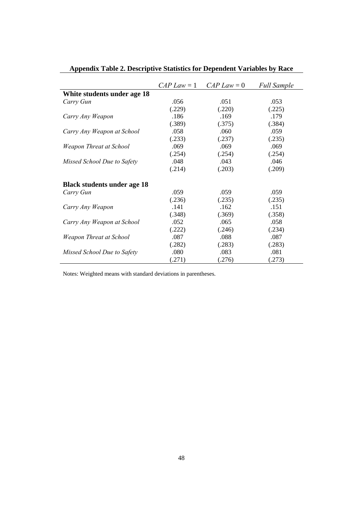|                                    |        | $CAP Law = 1$ $CAP Law = 0$ | <b>Full Sample</b> |
|------------------------------------|--------|-----------------------------|--------------------|
| White students under age 18        |        |                             |                    |
| Carry Gun                          | .056   | .051                        | .053               |
|                                    | (.229) | (.220)                      | (.225)             |
| Carry Any Weapon                   | .186   | .169                        | .179               |
|                                    | (.389) | (.375)                      | (.384)             |
| Carry Any Weapon at School         | .058   | .060                        | .059               |
|                                    | (.233) | (.237)                      | (.235)             |
| Weapon Threat at School            | .069   | .069                        | .069               |
|                                    | (.254) | (.254)                      | (.254)             |
| Missed School Due to Safety        | .048   | .043                        | .046               |
|                                    | (.214) | (.203)                      | (.209)             |
| <b>Black students under age 18</b> |        |                             |                    |
| Carry Gun                          | .059   | .059                        | .059               |
|                                    | (.236) | (.235)                      | (.235)             |
| Carry Any Weapon                   | .141   | .162                        | .151               |
|                                    | (.348) | (.369)                      | (.358)             |
| Carry Any Weapon at School         | .052   | .065                        | .058               |
|                                    | (.222) | (.246)                      | (.234)             |
| Weapon Threat at School            | .087   | .088                        | .087               |
|                                    | (.282) | (.283)                      | (.283)             |
| Missed School Due to Safety        | .080   | .083                        | .081               |
|                                    | (.271) | (.276)                      | (.273)             |

# **Appendix Table 2. Descriptive Statistics for Dependent Variables by Race**

Notes: Weighted means with standard deviations in parentheses.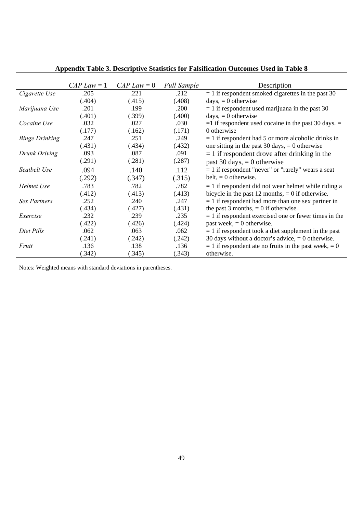|                       | $CAP Law = 1$ | $CAP Law = 0$ | <b>Full Sample</b> | Description                                               |
|-----------------------|---------------|---------------|--------------------|-----------------------------------------------------------|
| Cigarette Use         | .205          | .221          | .212               | $= 1$ if respondent smoked cigarettes in the past 30      |
|                       | (.404)        | (.415)        | (.408)             | $days, = 0$ otherwise                                     |
| Marijuana Use         | .201          | .199          | .200               | $= 1$ if respondent used marijuana in the past 30         |
|                       | (.401)        | (.399)        | (.400)             | $days, = 0$ otherwise                                     |
| Cocaine Use           | .032          | .027          | .030               | $=$ 1 if respondent used cocaine in the past 30 days. $=$ |
|                       | (.177)        | (.162)        | (.171)             | 0 otherwise                                               |
| <b>Binge Drinking</b> | .247          | .251          | .249               | $= 1$ if respondent had 5 or more alcoholic drinks in     |
|                       | (.431)        | (.434)        | (.432)             | one sitting in the past 30 days, $= 0$ otherwise          |
| Drunk Driving         | .093          | .087          | .091               | $= 1$ if respondent drove after drinking in the           |
|                       | (.291)        | (.281)        | (.287)             | past 30 days, $= 0$ otherwise                             |
| Seatbelt Use          | .094          | .140          | .112               | $= 1$ if respondent "never" or "rarely" wears a seat      |
|                       | (.292)        | (.347)        | (.315)             | belt, $= 0$ otherwise.                                    |
| Helmet Use            | .783          | .782          | .782               | $= 1$ if respondent did not wear helmet while riding a    |
|                       | (.412)        | (.413)        | (.413)             | bicycle in the past 12 months, $= 0$ if otherwise.        |
| <b>Sex Partners</b>   | .252          | .240          | .247               | $= 1$ if respondent had more than one sex partner in      |
|                       | (.434)        | (.427)        | (.431)             | the past 3 months, $= 0$ if otherwise.                    |
| Exercise              | .232          | .239          | .235               | $= 1$ if respondent exercised one or fewer times in the   |
|                       | (.422)        | (.426)        | (.424)             | past week, $= 0$ otherwise.                               |
| Diet Pills            | .062          | .063          | .062               | $= 1$ if respondent took a diet supplement in the past    |
|                       | (.241)        | (.242)        | (.242)             | 30 days without a doctor's advice, $= 0$ otherwise.       |
| Fruit                 | .136          | .138          | .136               | $= 1$ if respondent ate no fruits in the past week, $= 0$ |
|                       | (.342)        | (.345)        | (.343)             | otherwise.                                                |

**Appendix Table 3. Descriptive Statistics for Falsification Outcomes Used in Table 8** 

Notes: Weighted means with standard deviations in parentheses.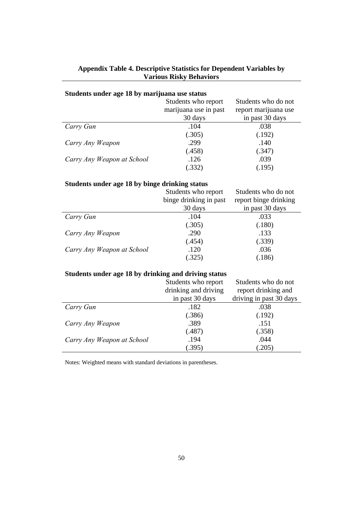### **Appendix Table 4. Descriptive Statistics for Dependent Variables by Various Risky Behaviors**

## **Students under age 18 by marijuana use status**

|                            | Students who report   | Students who do not  |
|----------------------------|-----------------------|----------------------|
|                            | marijuana use in past | report marijuana use |
|                            | 30 days               | in past 30 days      |
| Carry Gun                  | .104                  | .038                 |
|                            | (.305)                | (.192)               |
| Carry Any Weapon           | .299                  | .140                 |
|                            | (.458)                | (.347)               |
| Carry Any Weapon at School | .126                  | .039                 |
|                            | (.332)                | (.195)               |

### **Students under age 18 by binge drinking status**

|                            | Students who report    | Students who do not   |
|----------------------------|------------------------|-----------------------|
|                            | binge drinking in past | report binge drinking |
|                            | 30 days                | in past 30 days       |
| Carry Gun                  | .104                   | .033                  |
|                            | (.305)                 | (.180)                |
| Carry Any Weapon           | .290                   | .133                  |
|                            | (.454)                 | (.339)                |
| Carry Any Weapon at School | .120                   | .036                  |
|                            | (.325)                 | (.186)                |

### **Students under age 18 by drinking and driving status**

|                            | Students who report  | Students who do not     |
|----------------------------|----------------------|-------------------------|
|                            | drinking and driving | report drinking and     |
|                            | in past 30 days      | driving in past 30 days |
| Carry Gun                  | .182                 | .038                    |
|                            | (.386)               | (.192)                  |
| Carry Any Weapon           | .389                 | .151                    |
|                            | (.487)               | (.358)                  |
| Carry Any Weapon at School | .194                 | .044                    |
|                            | (.395)               | .205)                   |

Notes: Weighted means with standard deviations in parentheses.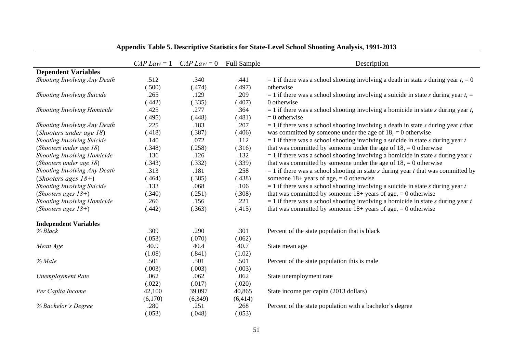|                                    |         | $CAP Law = 1$ $CAP Law = 0$ | <b>Full Sample</b> | Description                                                                            |
|------------------------------------|---------|-----------------------------|--------------------|----------------------------------------------------------------------------------------|
| <b>Dependent Variables</b>         |         |                             |                    |                                                                                        |
| Shooting Involving Any Death       | .512    | .340                        | .441               | $= 1$ if there was a school shooting involving a death in state s during year $t = 0$  |
|                                    | (.500)  | (.474)                      | (.497)             | otherwise                                                                              |
| <b>Shooting Involving Suicide</b>  | .265    | .129                        | .209               | $=$ 1 if there was a school shooting involving a suicide in state s during year t, $=$ |
|                                    | (.442)  | (.335)                      | (.407)             | 0 otherwise                                                                            |
| <b>Shooting Involving Homicide</b> | .425    | .277                        | .364               | $= 1$ if there was a school shooting involving a homicide in state s during year t,    |
|                                    | (.495)  | (.448)                      | (.481)             | $= 0$ otherwise                                                                        |
| Shooting Involving Any Death       | .225    | .183                        | .207               | $= 1$ if there was a school shooting involving a death in state s during year t that   |
| (Shooters under age 18)            | (.418)  | (.387)                      | (.406)             | was committed by someone under the age of $18$ , = 0 otherwise                         |
| <b>Shooting Involving Suicide</b>  | .140    | .072                        | .112               | $= 1$ if there was a school shooting involving a suicide in state s during year t      |
| (Shooters under age 18)            | (.348)  | (.258)                      | (.316)             | that was committed by someone under the age of $18$ , = 0 otherwise                    |
| Shooting Involving Homicide        | .136    | .126                        | .132               | $= 1$ if there was a school shooting involving a homicide in state s during year t     |
| (Shooters under age 18)            | (.343)  | (.332)                      | (.339)             | that was committed by someone under the age of $18$ , = 0 otherwise                    |
| Shooting Involving Any Death       | .313    | .181                        | .258               | $= 1$ if there was a school shooting in state s during year t that was committed by    |
| (Shooters ages $18+$ )             | (.464)  | (.385)                      | (.438)             | someone $18+$ years of age, = 0 otherwise                                              |
| <b>Shooting Involving Suicide</b>  | .133    | .068                        | .106               | $= 1$ if there was a school shooting involving a suicide in state s during year t      |
| (Shooters ages $18+$ )             | (.340)  | (.251)                      | (.308)             | that was committed by someone $18+$ years of age, $= 0$ otherwise                      |
| Shooting Involving Homicide        | .266    | .156                        | .221               | $= 1$ if there was a school shooting involving a homicide in state s during year t     |
| (Shooters ages $18+$ )             | (.442)  | (.363)                      | (.415)             | that was committed by someone $18+$ years of age, $= 0$ otherwise                      |
| <b>Independent Variables</b>       |         |                             |                    |                                                                                        |
| % Black                            | .309    | .290                        | .301               | Percent of the state population that is black                                          |
|                                    | (.053)  | (.070)                      | (.062)             |                                                                                        |
| Mean Age                           | 40.9    | 40.4                        | 40.7               | State mean age                                                                         |
|                                    | (1.08)  | (.841)                      | (1.02)             |                                                                                        |
| % Male                             | .501    | .501                        | .501               | Percent of the state population this is male                                           |
|                                    | (.003)  | (.003)                      | (.003)             |                                                                                        |
| <b>Unemployment Rate</b>           | .062    | .062                        | .062               | State unemployment rate                                                                |
|                                    | (.022)  | (.017)                      | (.020)             |                                                                                        |
| Per Capita Income                  | 42,100  | 39,097                      | 40,865             | State income per capita (2013 dollars)                                                 |
|                                    | (6,170) | (6,349)                     | (6, 414)           |                                                                                        |
| % Bachelor's Degree                | .280    | .251                        | .268               | Percent of the state population with a bachelor's degree                               |
|                                    | (.053)  | (.048)                      | (.053)             |                                                                                        |

**Appendix Table 5. Descriptive Statistics for State-Level School Shooting Analysis, 1991-2013**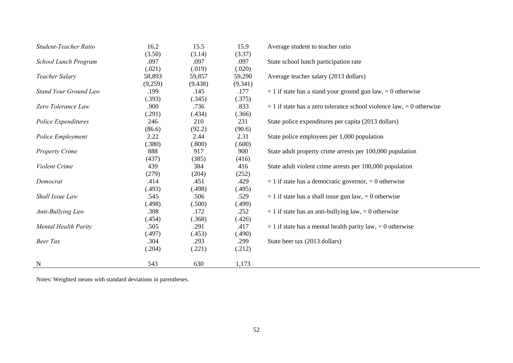| Student-Teacher Ratio        | 16.2    | 15.5     | 15.9    | Average student to teacher ratio                                         |
|------------------------------|---------|----------|---------|--------------------------------------------------------------------------|
|                              | (3.50)  | (3.14)   | (3.37)  |                                                                          |
| School Lunch Program         | .097    | .097     | .097    | State school lunch participation rate                                    |
|                              | (.021)  | (.019)   | (.020)  |                                                                          |
| Teacher Salary               | 58,893  | 59,857   | 59,290  | Average teacher salary (2013 dollars)                                    |
|                              | (9,259) | (9, 438) | (9,341) |                                                                          |
| <b>Stand Your Ground Law</b> | .199    | .145     | .177    | $= 1$ if state has a stand your ground gun law, $= 0$ otherwise          |
|                              | (.393)  | (.345)   | (.375)  |                                                                          |
| Zero Tolerance Law           | .900    | .736     | .833    | $= 1$ if state has a zero tolerance school violence law, $= 0$ otherwise |
|                              | (.291)  | (.434)   | (.366)  |                                                                          |
| Police Expenditures          | 246     | 210      | 231     | State police expenditures per capita (2013 dollars)                      |
|                              | (86.6)  | (92.2)   | (90.6)  |                                                                          |
| Police Employment            | 2.22    | 2.44     | 2.31    | State police employees per 1,000 population                              |
|                              | (.380)  | (.800)   | (.600)  |                                                                          |
| <b>Property Crime</b>        | 888     | 917      | 900     | State adult property crime arrests per 100,000 population                |
|                              | (437)   | (385)    | (416)   |                                                                          |
| Violent Crime                | 439     | 384      | 416     | State adult violent crime arrests per 100,000 population                 |
|                              | (279)   | (204)    | (252)   |                                                                          |
| Democrat                     | .414    | .451     | .429    | $= 1$ if state has a democratic governor, $= 0$ otherwise                |
|                              | (.493)  | (.498)   | (.495)  |                                                                          |
| Shall Issue Law              | .545    | .506     | .529    | $= 1$ if state has a shall issue gun law, $= 0$ otherwise                |
|                              | (.498)  | (.500)   | (.499)  |                                                                          |
| Anti-Bullying Law            | .308    | .172     | .252    | $= 1$ if state has an anti-bullying law, $= 0$ otherwise                 |
|                              | (.454)  | (.368)   | (.426)  |                                                                          |
| Mental Health Parity         | .505    | .291     | .417    | $= 1$ if state has a mental health parity law, $= 0$ otherwise           |
|                              | (.497)  | (.453)   | (.490)  |                                                                          |
| <b>Beer Tax</b>              | .304    | .293     | .299    | State beer tax (2013 dollars)                                            |
|                              | (.204)  | (.221)   | (.212)  |                                                                          |
| $\mathbf N$                  | 543     | 630      | 1,173   |                                                                          |

Notes: Weighted means with standard deviations in parentheses.